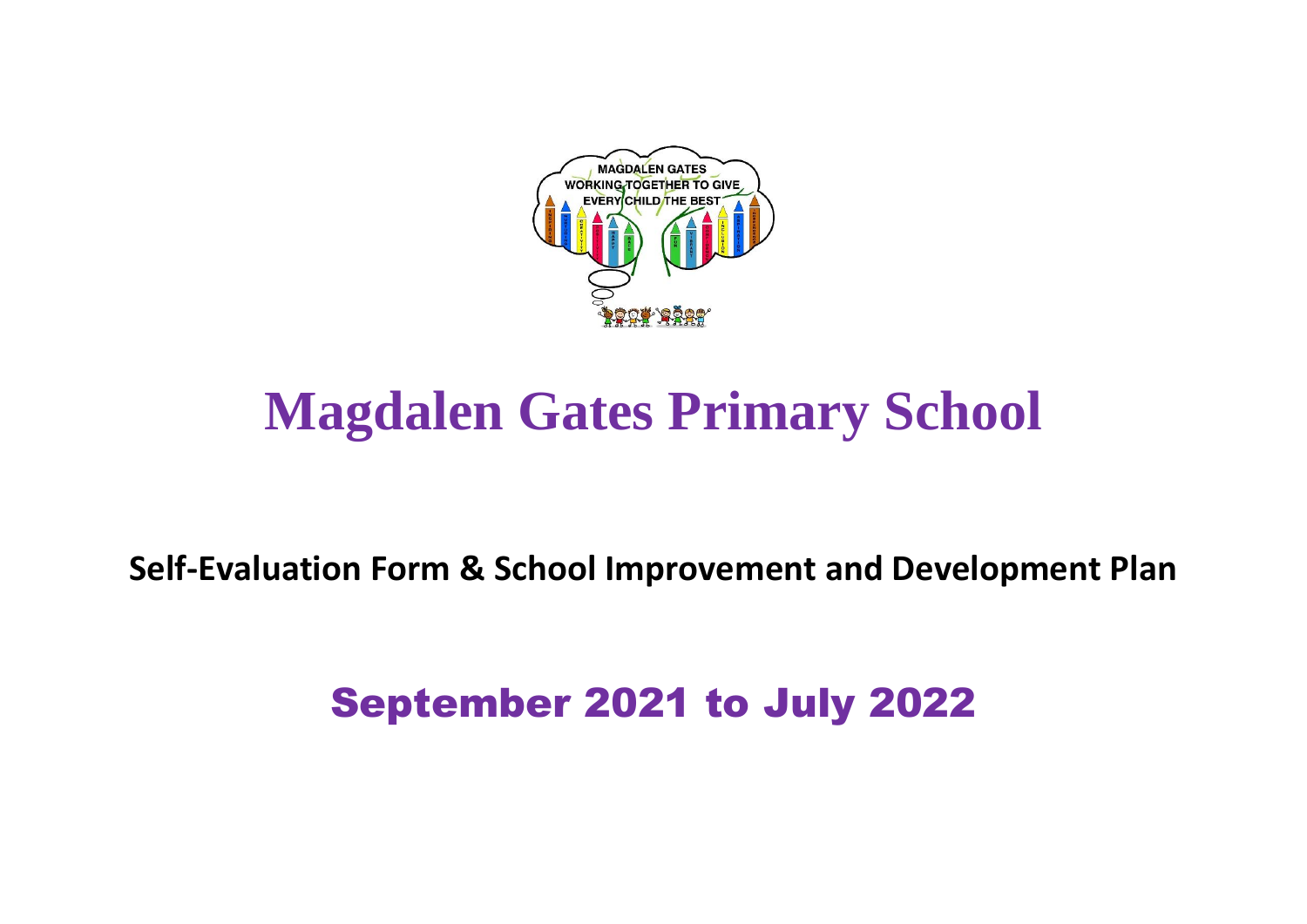

# **Magdalen Gates Primary School**

**Self-Evaluation Form & School Improvement and Development Plan**

## September 2021 to July 2022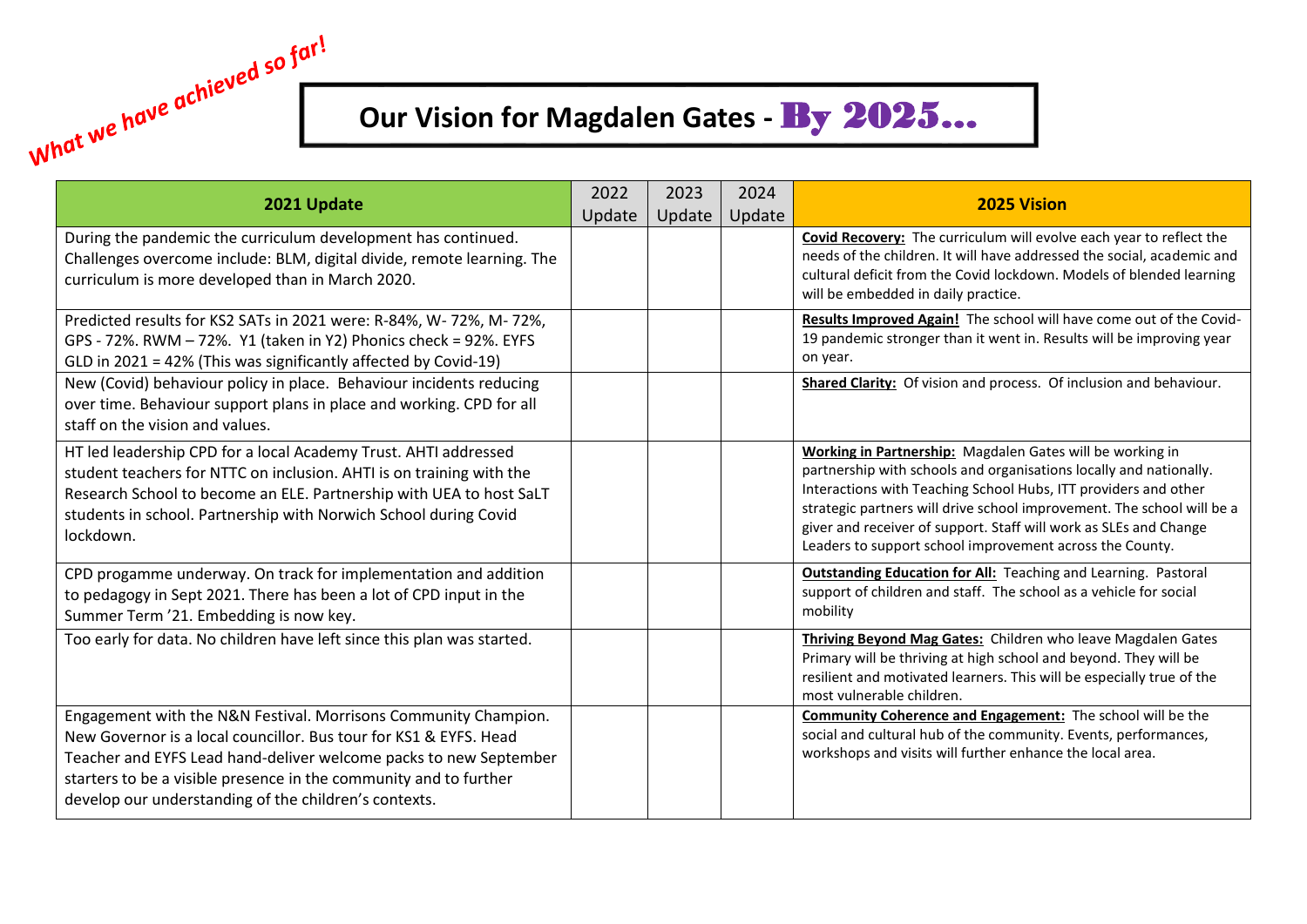### **Our Vision for Magdalen Gates -** By 2025…

| 2021 Update                                                                                                                                                                                                                                                                                                                             | 2022<br>Update | 2023<br>Update | 2024<br>Update | <b>2025 Vision</b>                                                                                                                                                                                                                                                                                                                                                                                            |
|-----------------------------------------------------------------------------------------------------------------------------------------------------------------------------------------------------------------------------------------------------------------------------------------------------------------------------------------|----------------|----------------|----------------|---------------------------------------------------------------------------------------------------------------------------------------------------------------------------------------------------------------------------------------------------------------------------------------------------------------------------------------------------------------------------------------------------------------|
| During the pandemic the curriculum development has continued.<br>Challenges overcome include: BLM, digital divide, remote learning. The<br>curriculum is more developed than in March 2020.                                                                                                                                             |                |                |                | Covid Recovery: The curriculum will evolve each year to reflect the<br>needs of the children. It will have addressed the social, academic and<br>cultural deficit from the Covid lockdown. Models of blended learning<br>will be embedded in daily practice.                                                                                                                                                  |
| Predicted results for KS2 SATs in 2021 were: R-84%, W-72%, M-72%,<br>GPS - 72%. RWM - 72%. Y1 (taken in Y2) Phonics check = 92%. EYFS<br>GLD in 2021 = 42% (This was significantly affected by Covid-19)                                                                                                                                |                |                |                | Results Improved Again! The school will have come out of the Covid-<br>19 pandemic stronger than it went in. Results will be improving year<br>on year.                                                                                                                                                                                                                                                       |
| New (Covid) behaviour policy in place. Behaviour incidents reducing<br>over time. Behaviour support plans in place and working. CPD for all<br>staff on the vision and values.                                                                                                                                                          |                |                |                | Shared Clarity: Of vision and process. Of inclusion and behaviour.                                                                                                                                                                                                                                                                                                                                            |
| HT led leadership CPD for a local Academy Trust. AHTI addressed<br>student teachers for NTTC on inclusion. AHTI is on training with the<br>Research School to become an ELE. Partnership with UEA to host SaLT<br>students in school. Partnership with Norwich School during Covid<br>lockdown.                                         |                |                |                | Working in Partnership: Magdalen Gates will be working in<br>partnership with schools and organisations locally and nationally.<br>Interactions with Teaching School Hubs, ITT providers and other<br>strategic partners will drive school improvement. The school will be a<br>giver and receiver of support. Staff will work as SLEs and Change<br>Leaders to support school improvement across the County. |
| CPD progamme underway. On track for implementation and addition<br>to pedagogy in Sept 2021. There has been a lot of CPD input in the<br>Summer Term '21. Embedding is now key.                                                                                                                                                         |                |                |                | <b>Outstanding Education for All:</b> Teaching and Learning. Pastoral<br>support of children and staff. The school as a vehicle for social<br>mobility                                                                                                                                                                                                                                                        |
| Too early for data. No children have left since this plan was started.                                                                                                                                                                                                                                                                  |                |                |                | Thriving Beyond Mag Gates: Children who leave Magdalen Gates<br>Primary will be thriving at high school and beyond. They will be<br>resilient and motivated learners. This will be especially true of the<br>most vulnerable children.                                                                                                                                                                        |
| Engagement with the N&N Festival. Morrisons Community Champion.<br>New Governor is a local councillor. Bus tour for KS1 & EYFS, Head<br>Teacher and EYFS Lead hand-deliver welcome packs to new September<br>starters to be a visible presence in the community and to further<br>develop our understanding of the children's contexts. |                |                |                | <b>Community Coherence and Engagement:</b> The school will be the<br>social and cultural hub of the community. Events, performances,<br>workshops and visits will further enhance the local area.                                                                                                                                                                                                             |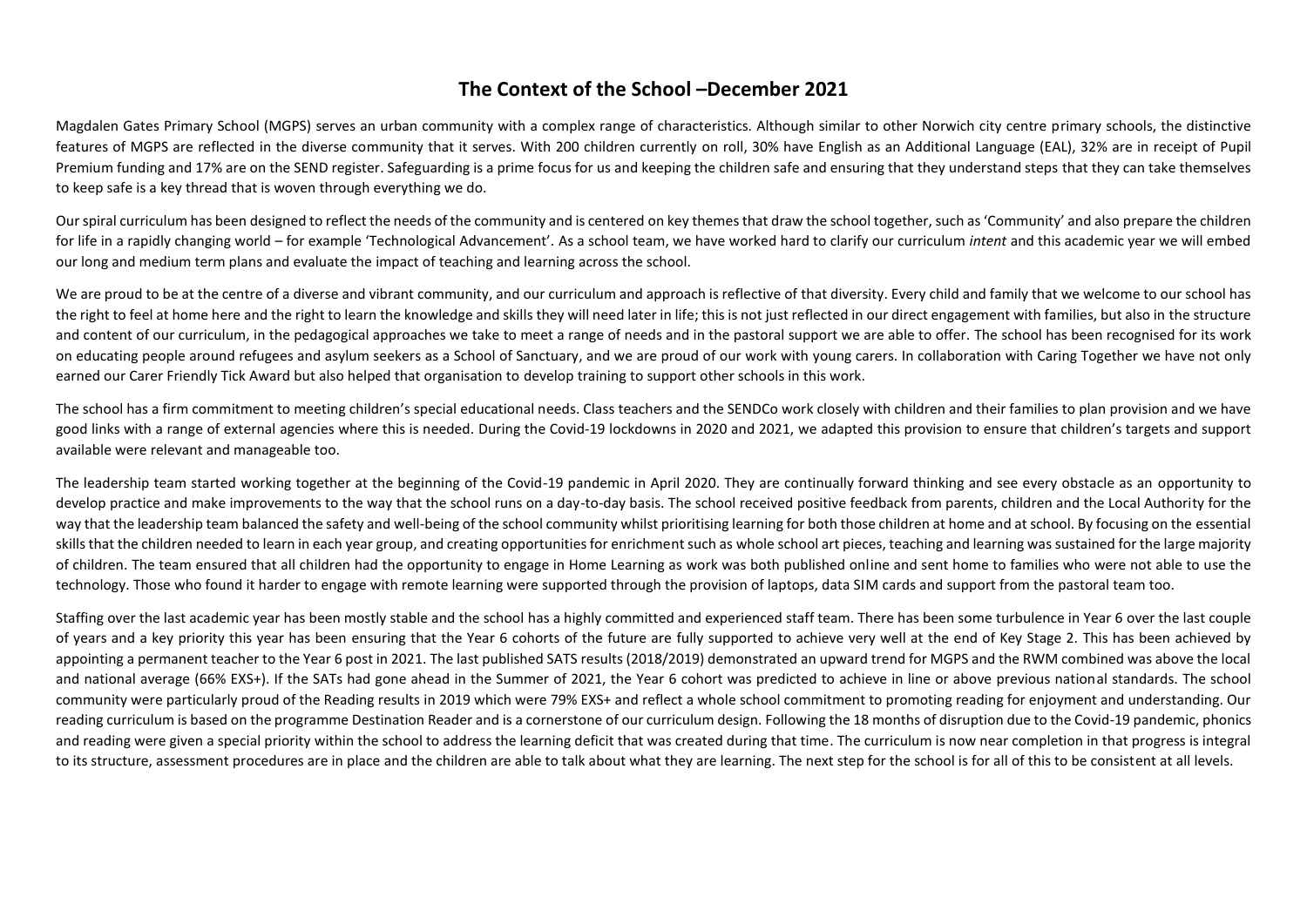#### **The Context of the School –December 2021**

Magdalen Gates Primary School (MGPS) serves an urban community with a complex range of characteristics. Although similar to other Norwich city centre primary schools, the distinctive features of MGPS are reflected in the diverse community that it serves. With 200 children currently on roll, 30% have English as an Additional Language (EAL), 32% are in receipt of Pupil Premium funding and 17% are on the SEND register. Safeguarding is a prime focus for us and keeping the children safe and ensuring that they understand steps that they can take themselves to keep safe is a key thread that is woven through everything we do.

Our spiral curriculum has been designed to reflect the needs of the community and is centered on key themes that draw the school together, such as 'Community' and also prepare the children for life in a rapidly changing world – for example 'Technological Advancement'. As a school team, we have worked hard to clarify our curriculum *intent* and this academic year we will embed our long and medium term plans and evaluate the impact of teaching and learning across the school.

We are proud to be at the centre of a diverse and vibrant community, and our curriculum and approach is reflective of that diversity. Every child and family that we welcome to our school has the right to feel at home here and the right to learn the knowledge and skills they will need later in life; this is not just reflected in our direct engagement with families, but also in the structure and content of our curriculum, in the pedagogical approaches we take to meet a range of needs and in the pastoral support we are able to offer. The school has been recognised for its work on educating people around refugees and asylum seekers as a School of Sanctuary, and we are proud of our work with young carers. In collaboration with Caring Together we have not only earned our Carer Friendly Tick Award but also helped that organisation to develop training to support other schools in this work.

The school has a firm commitment to meeting children's special educational needs. Class teachers and the SENDCo work closely with children and their families to plan provision and we have good links with a range of external agencies where this is needed. During the Covid-19 lockdowns in 2020 and 2021, we adapted this provision to ensure that children's targets and support available were relevant and manageable too.

The leadership team started working together at the beginning of the Covid-19 pandemic in April 2020. They are continually forward thinking and see every obstacle as an opportunity to develop practice and make improvements to the way that the school runs on a day-to-day basis. The school received positive feedback from parents, children and the Local Authority for the way that the leadership team balanced the safety and well-being of the school community whilst prioritising learning for both those children at home and at school. By focusing on the essential skills that the children needed to learn in each year group, and creating opportunities for enrichment such as whole school art pieces, teaching and learning was sustained for the large majority of children. The team ensured that all children had the opportunity to engage in Home Learning as work was both published online and sent home to families who were not able to use the technology. Those who found it harder to engage with remote learning were supported through the provision of laptops, data SIM cards and support from the pastoral team too.

Staffing over the last academic year has been mostly stable and the school has a highly committed and experienced staff team. There has been some turbulence in Year 6 over the last couple of years and a key priority this year has been ensuring that the Year 6 cohorts of the future are fully supported to achieve very well at the end of Key Stage 2. This has been achieved by appointing a permanent teacher to the Year 6 post in 2021. The last published SATS results (2018/2019) demonstrated an upward trend for MGPS and the RWM combined was above the local and national average (66% EXS+). If the SATs had gone ahead in the Summer of 2021, the Year 6 cohort was predicted to achieve in line or above previous national standards. The school community were particularly proud of the Reading results in 2019 which were 79% EXS+ and reflect a whole school commitment to promoting reading for enjoyment and understanding. Our reading curriculum is based on the programme Destination Reader and is a cornerstone of our curriculum design. Following the 18 months of disruption due to the Covid-19 pandemic, phonics and reading were given a special priority within the school to address the learning deficit that was created during that time. The curriculum is now near completion in that progress is integral to its structure, assessment procedures are in place and the children are able to talk about what they are learning. The next step for the school is for all of this to be consistent at all levels.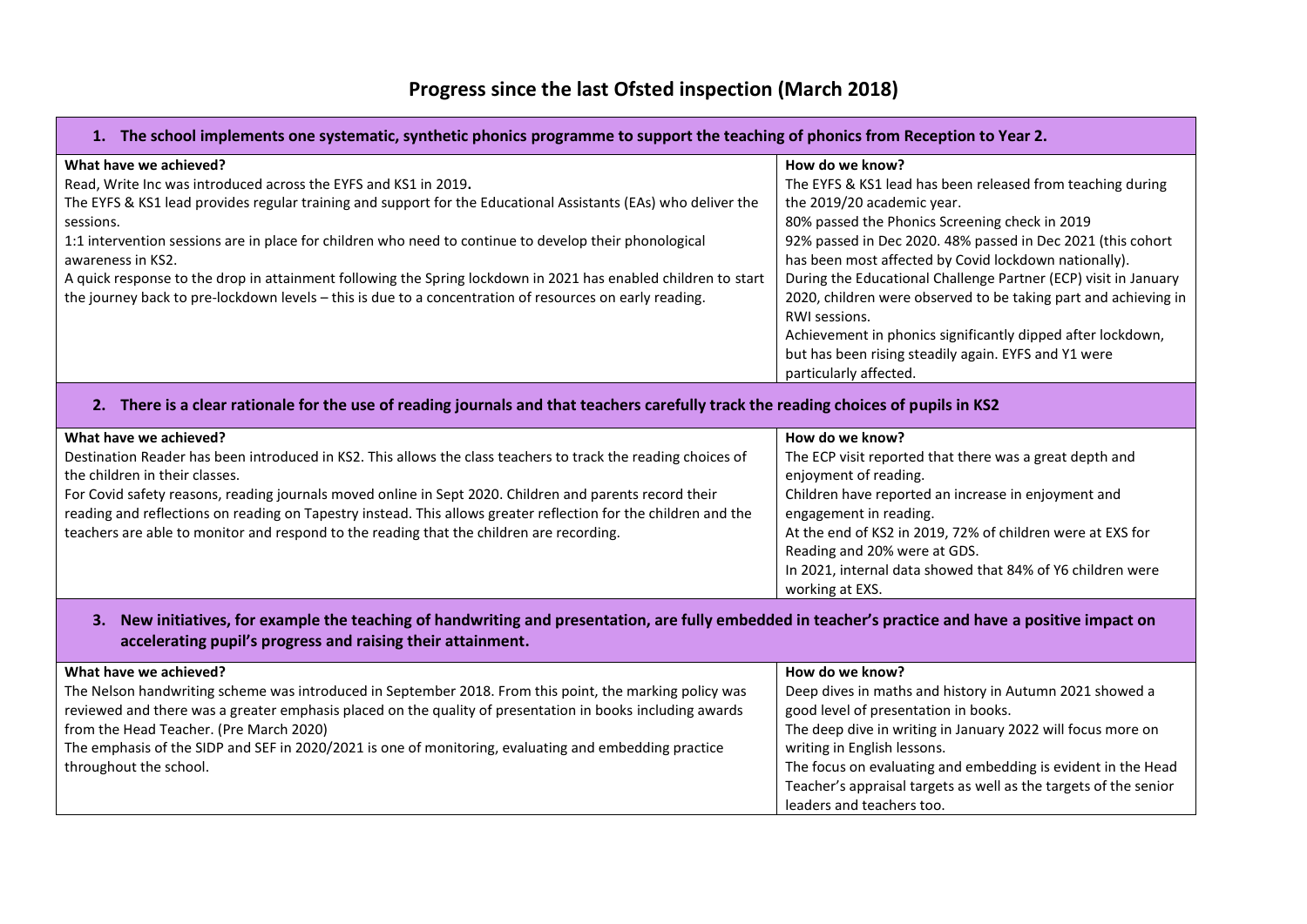#### **Progress since the last Ofsted inspection (March 2018)**

#### **1. The school implements one systematic, synthetic phonics programme to support the teaching of phonics from Reception to Year 2.**

| What have we achieved?                                                                                         | How do we know?                                                 |
|----------------------------------------------------------------------------------------------------------------|-----------------------------------------------------------------|
| Read, Write Inc was introduced across the EYFS and KS1 in 2019.                                                | The EYFS & KS1 lead has been released from teaching during      |
| The EYFS & KS1 lead provides regular training and support for the Educational Assistants (EAs) who deliver the | the 2019/20 academic year.                                      |
| sessions.                                                                                                      | 80% passed the Phonics Screening check in 2019                  |
| 1:1 intervention sessions are in place for children who need to continue to develop their phonological         | 92% passed in Dec 2020. 48% passed in Dec 2021 (this cohort     |
| awareness in KS2.                                                                                              | has been most affected by Covid lockdown nationally).           |
| A quick response to the drop in attainment following the Spring lockdown in 2021 has enabled children to start | During the Educational Challenge Partner (ECP) visit in January |
| the journey back to pre-lockdown levels - this is due to a concentration of resources on early reading.        | 2020, children were observed to be taking part and achieving in |
|                                                                                                                | RWI sessions.                                                   |
|                                                                                                                | Achievement in phonics significantly dipped after lockdown,     |
|                                                                                                                | but has been rising steadily again. EYFS and Y1 were            |
|                                                                                                                | particularly affected.                                          |
|                                                                                                                |                                                                 |

#### **2. There is a clear rationale for the use of reading journals and that teachers carefully track the reading choices of pupils in KS2**

| What have we achieved?                                                                                          | How do we know?                                            |
|-----------------------------------------------------------------------------------------------------------------|------------------------------------------------------------|
| Destination Reader has been introduced in KS2. This allows the class teachers to track the reading choices of   | The ECP visit reported that there was a great depth and    |
| the children in their classes.                                                                                  | enjoyment of reading.                                      |
| For Covid safety reasons, reading journals moved online in Sept 2020. Children and parents record their         | Children have reported an increase in enjoyment and        |
| reading and reflections on reading on Tapestry instead. This allows greater reflection for the children and the | engagement in reading.                                     |
| teachers are able to monitor and respond to the reading that the children are recording.                        | At the end of KS2 in 2019, 72% of children were at EXS for |
|                                                                                                                 | Reading and 20% were at GDS.                               |
|                                                                                                                 | In 2021, internal data showed that 84% of Y6 children were |
|                                                                                                                 | working at EXS.                                            |

#### 3. New initiatives, for example the teaching of handwriting and presentation, are fully embedded in teacher's practice and have a positive impact on **accelerating pupil's progress and raising their attainment.**

| What have we achieved?                                                                                    | How do we know?                                                  |
|-----------------------------------------------------------------------------------------------------------|------------------------------------------------------------------|
| The Nelson handwriting scheme was introduced in September 2018. From this point, the marking policy was   | Deep dives in maths and history in Autumn 2021 showed a          |
| reviewed and there was a greater emphasis placed on the quality of presentation in books including awards | good level of presentation in books.                             |
| from the Head Teacher. (Pre March 2020)                                                                   | The deep dive in writing in January 2022 will focus more on      |
| The emphasis of the SIDP and SEF in 2020/2021 is one of monitoring, evaluating and embedding practice     | writing in English lessons.                                      |
| throughout the school.                                                                                    | The focus on evaluating and embedding is evident in the Head     |
|                                                                                                           | Teacher's appraisal targets as well as the targets of the senior |
|                                                                                                           | leaders and teachers too.                                        |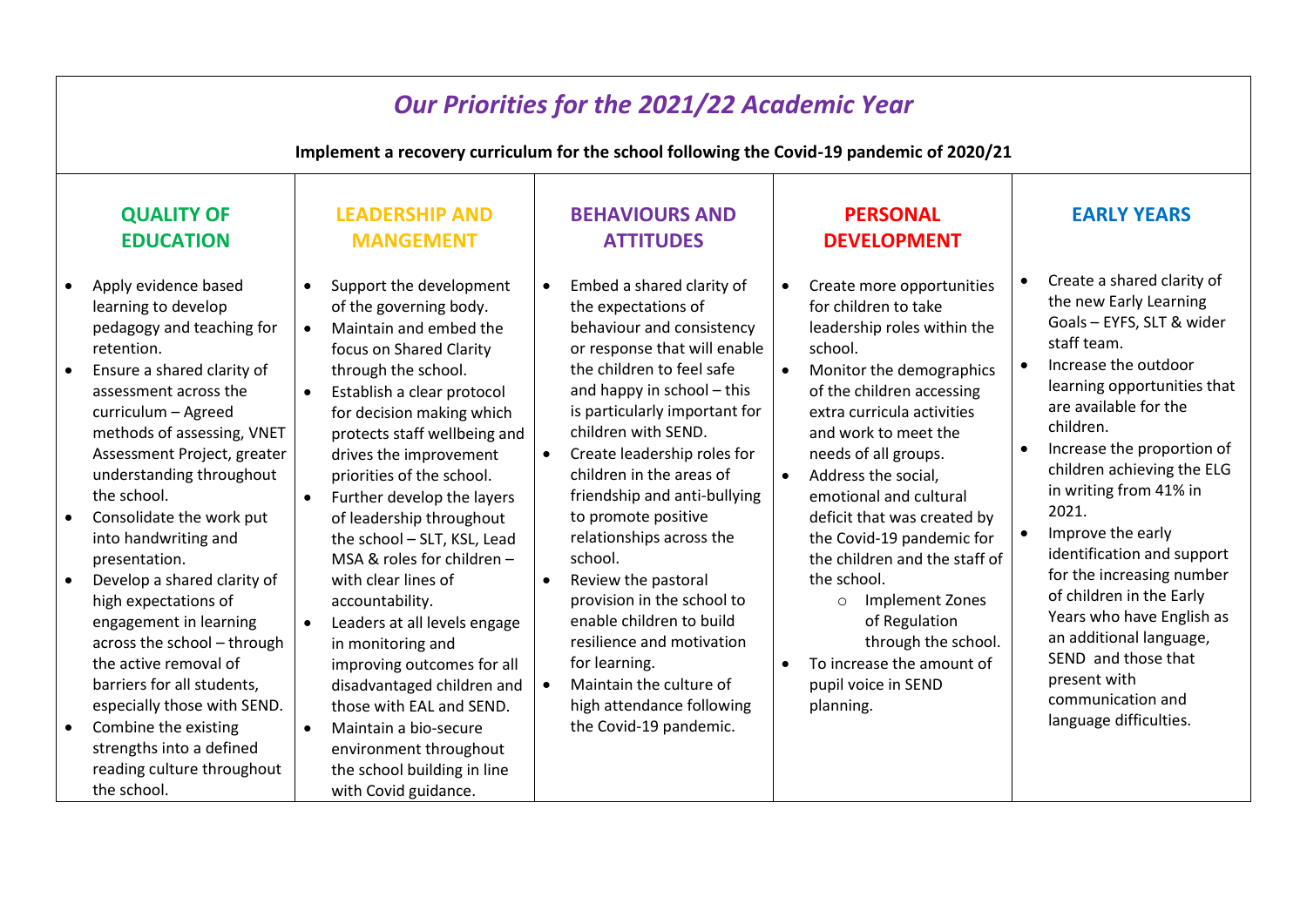| <b>Our Priorities for the 2021/22 Academic Year</b>                                                                                                                                                                                                                                                                                                                                                                                                                                                                                                                                                                                                                                                          |                                                                                                                                                                                                                                                                                                                                                                                                                                                                                                                                                                                                                                                                                                                                                                          |                                                                                                                                                                                                                                                                                                                                                                                                                                                                                                                                                                                                                                      |                                                                                                                                                                                                                                                                                                                                                                                                                                                                                                                                                                                            |                                                                                                                                                                                                                                                                                                                                                                                                                                                                                                                                                        |  |  |  |  |  |  |  |  |
|--------------------------------------------------------------------------------------------------------------------------------------------------------------------------------------------------------------------------------------------------------------------------------------------------------------------------------------------------------------------------------------------------------------------------------------------------------------------------------------------------------------------------------------------------------------------------------------------------------------------------------------------------------------------------------------------------------------|--------------------------------------------------------------------------------------------------------------------------------------------------------------------------------------------------------------------------------------------------------------------------------------------------------------------------------------------------------------------------------------------------------------------------------------------------------------------------------------------------------------------------------------------------------------------------------------------------------------------------------------------------------------------------------------------------------------------------------------------------------------------------|--------------------------------------------------------------------------------------------------------------------------------------------------------------------------------------------------------------------------------------------------------------------------------------------------------------------------------------------------------------------------------------------------------------------------------------------------------------------------------------------------------------------------------------------------------------------------------------------------------------------------------------|--------------------------------------------------------------------------------------------------------------------------------------------------------------------------------------------------------------------------------------------------------------------------------------------------------------------------------------------------------------------------------------------------------------------------------------------------------------------------------------------------------------------------------------------------------------------------------------------|--------------------------------------------------------------------------------------------------------------------------------------------------------------------------------------------------------------------------------------------------------------------------------------------------------------------------------------------------------------------------------------------------------------------------------------------------------------------------------------------------------------------------------------------------------|--|--|--|--|--|--|--|--|
| Implement a recovery curriculum for the school following the Covid-19 pandemic of 2020/21                                                                                                                                                                                                                                                                                                                                                                                                                                                                                                                                                                                                                    |                                                                                                                                                                                                                                                                                                                                                                                                                                                                                                                                                                                                                                                                                                                                                                          |                                                                                                                                                                                                                                                                                                                                                                                                                                                                                                                                                                                                                                      |                                                                                                                                                                                                                                                                                                                                                                                                                                                                                                                                                                                            |                                                                                                                                                                                                                                                                                                                                                                                                                                                                                                                                                        |  |  |  |  |  |  |  |  |
| <b>QUALITY OF</b><br><b>EDUCATION</b>                                                                                                                                                                                                                                                                                                                                                                                                                                                                                                                                                                                                                                                                        | <b>LEADERSHIP AND</b><br><b>MANGEMENT</b>                                                                                                                                                                                                                                                                                                                                                                                                                                                                                                                                                                                                                                                                                                                                | <b>BEHAVIOURS AND</b><br><b>ATTITUDES</b>                                                                                                                                                                                                                                                                                                                                                                                                                                                                                                                                                                                            | <b>PERSONAL</b><br><b>DEVELOPMENT</b>                                                                                                                                                                                                                                                                                                                                                                                                                                                                                                                                                      | <b>EARLY YEARS</b>                                                                                                                                                                                                                                                                                                                                                                                                                                                                                                                                     |  |  |  |  |  |  |  |  |
| Apply evidence based<br>$\bullet$<br>learning to develop<br>pedagogy and teaching for<br>retention.<br>Ensure a shared clarity of<br>$\bullet$<br>assessment across the<br>curriculum - Agreed<br>methods of assessing, VNET<br>Assessment Project, greater<br>understanding throughout<br>the school.<br>Consolidate the work put<br>$\bullet$<br>into handwriting and<br>presentation.<br>Develop a shared clarity of<br>high expectations of<br>engagement in learning<br>across the school - through<br>the active removal of<br>barriers for all students,<br>especially those with SEND.<br>Combine the existing<br>$\bullet$<br>strengths into a defined<br>reading culture throughout<br>the school. | Support the development<br>of the governing body.<br>Maintain and embed the<br>$\bullet$<br>focus on Shared Clarity<br>through the school.<br>Establish a clear protocol<br>$\bullet$<br>for decision making which<br>protects staff wellbeing and<br>drives the improvement<br>priorities of the school.<br>Further develop the layers<br>$\bullet$<br>of leadership throughout<br>the school - SLT, KSL, Lead<br>MSA & roles for children -<br>with clear lines of<br>accountability.<br>Leaders at all levels engage<br>$\bullet$<br>in monitoring and<br>improving outcomes for all<br>disadvantaged children and<br>those with EAL and SEND.<br>Maintain a bio-secure<br>$\bullet$<br>environment throughout<br>the school building in line<br>with Covid guidance. | Embed a shared clarity of<br>the expectations of<br>behaviour and consistency<br>or response that will enable<br>the children to feel safe<br>and happy in school - this<br>is particularly important for<br>children with SEND.<br>Create leadership roles for<br>$\bullet$<br>children in the areas of<br>friendship and anti-bullying<br>to promote positive<br>relationships across the<br>school.<br>Review the pastoral<br>$\bullet$<br>provision in the school to<br>enable children to build<br>resilience and motivation<br>for learning.<br>Maintain the culture of<br>high attendance following<br>the Covid-19 pandemic. | Create more opportunities<br>$\bullet$<br>for children to take<br>leadership roles within the<br>school.<br>Monitor the demographics<br>$\bullet$<br>of the children accessing<br>extra curricula activities<br>and work to meet the<br>needs of all groups.<br>Address the social,<br>$\bullet$<br>emotional and cultural<br>deficit that was created by<br>the Covid-19 pandemic for<br>the children and the staff of<br>the school.<br>Implement Zones<br>$\circ$<br>of Regulation<br>through the school.<br>To increase the amount of<br>$\bullet$<br>pupil voice in SEND<br>planning. | Create a shared clarity of<br>the new Early Learning<br>Goals - EYFS, SLT & wider<br>staff team.<br>Increase the outdoor<br>learning opportunities that<br>are available for the<br>children.<br>Increase the proportion of<br>children achieving the ELG<br>in writing from 41% in<br>2021.<br>Improve the early<br>identification and support<br>for the increasing number<br>of children in the Early<br>Years who have English as<br>an additional language,<br>SEND and those that<br>present with<br>communication and<br>language difficulties. |  |  |  |  |  |  |  |  |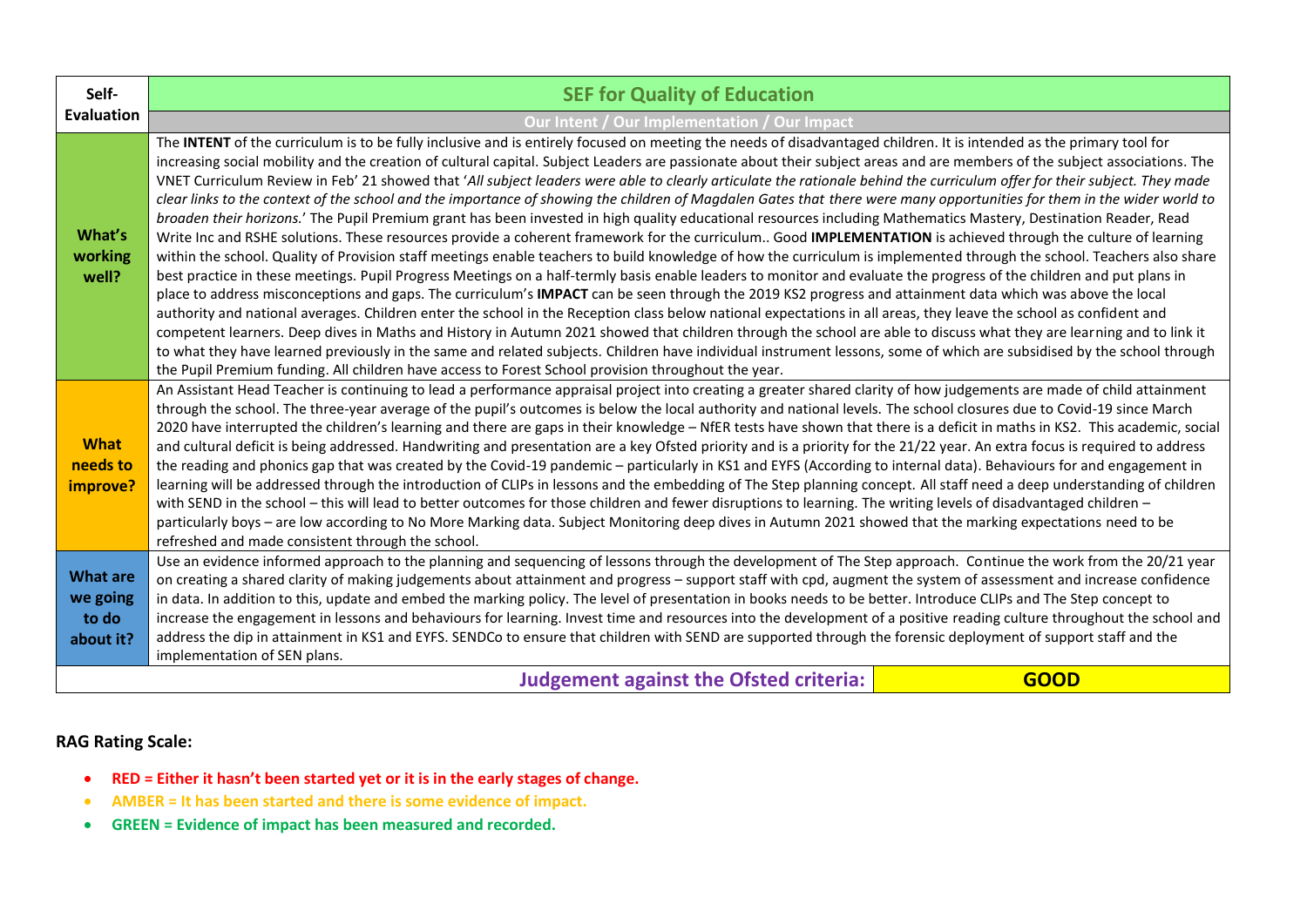| Self-                                             | <b>SEF for Quality of Education</b>                                                                                                                                                                                                                                                                                                                                                                                                                                                                                                                                                                                                                                                                                                                                                                                                                                                                                                                                                                                                                                                                                                                                                                                                                                                                                                                                                                                                                                                                                                                                                                                                                                                                                                                                                                                                                                                                                                                                                                                                                                                                                                                                                           |             |
|---------------------------------------------------|-----------------------------------------------------------------------------------------------------------------------------------------------------------------------------------------------------------------------------------------------------------------------------------------------------------------------------------------------------------------------------------------------------------------------------------------------------------------------------------------------------------------------------------------------------------------------------------------------------------------------------------------------------------------------------------------------------------------------------------------------------------------------------------------------------------------------------------------------------------------------------------------------------------------------------------------------------------------------------------------------------------------------------------------------------------------------------------------------------------------------------------------------------------------------------------------------------------------------------------------------------------------------------------------------------------------------------------------------------------------------------------------------------------------------------------------------------------------------------------------------------------------------------------------------------------------------------------------------------------------------------------------------------------------------------------------------------------------------------------------------------------------------------------------------------------------------------------------------------------------------------------------------------------------------------------------------------------------------------------------------------------------------------------------------------------------------------------------------------------------------------------------------------------------------------------------------|-------------|
| <b>Evaluation</b>                                 | Our Intent / Our Implementation / Our Impact                                                                                                                                                                                                                                                                                                                                                                                                                                                                                                                                                                                                                                                                                                                                                                                                                                                                                                                                                                                                                                                                                                                                                                                                                                                                                                                                                                                                                                                                                                                                                                                                                                                                                                                                                                                                                                                                                                                                                                                                                                                                                                                                                  |             |
| What's<br>working<br>well?                        | The INTENT of the curriculum is to be fully inclusive and is entirely focused on meeting the needs of disadvantaged children. It is intended as the primary tool for<br>increasing social mobility and the creation of cultural capital. Subject Leaders are passionate about their subject areas and are members of the subject associations. The<br>VNET Curriculum Review in Feb' 21 showed that 'All subject leaders were able to clearly articulate the rationale behind the curriculum offer for their subject. They made<br>clear links to the context of the school and the importance of showing the children of Magdalen Gates that there were many opportunities for them in the wider world to<br>broaden their horizons.' The Pupil Premium grant has been invested in high quality educational resources including Mathematics Mastery, Destination Reader, Read<br>Write Inc and RSHE solutions. These resources provide a coherent framework for the curriculum Good IMPLEMENTATION is achieved through the culture of learning<br>within the school. Quality of Provision staff meetings enable teachers to build knowledge of how the curriculum is implemented through the school. Teachers also share<br>best practice in these meetings. Pupil Progress Meetings on a half-termly basis enable leaders to monitor and evaluate the progress of the children and put plans in<br>place to address misconceptions and gaps. The curriculum's IMPACT can be seen through the 2019 KS2 progress and attainment data which was above the local<br>authority and national averages. Children enter the school in the Reception class below national expectations in all areas, they leave the school as confident and<br>competent learners. Deep dives in Maths and History in Autumn 2021 showed that children through the school are able to discuss what they are learning and to link it<br>to what they have learned previously in the same and related subjects. Children have individual instrument lessons, some of which are subsidised by the school through<br>the Pupil Premium funding. All children have access to Forest School provision throughout the year. |             |
| <b>What</b><br>needs to<br>improve?               | An Assistant Head Teacher is continuing to lead a performance appraisal project into creating a greater shared clarity of how judgements are made of child attainment<br>through the school. The three-year average of the pupil's outcomes is below the local authority and national levels. The school closures due to Covid-19 since March<br>2020 have interrupted the children's learning and there are gaps in their knowledge - NfER tests have shown that there is a deficit in maths in KS2. This academic, social<br>and cultural deficit is being addressed. Handwriting and presentation are a key Ofsted priority and is a priority for the 21/22 year. An extra focus is required to address<br>the reading and phonics gap that was created by the Covid-19 pandemic - particularly in KS1 and EYFS (According to internal data). Behaviours for and engagement in<br>learning will be addressed through the introduction of CLIPs in lessons and the embedding of The Step planning concept. All staff need a deep understanding of children<br>with SEND in the school - this will lead to better outcomes for those children and fewer disruptions to learning. The writing levels of disadvantaged children -<br>particularly boys - are low according to No More Marking data. Subject Monitoring deep dives in Autumn 2021 showed that the marking expectations need to be<br>refreshed and made consistent through the school.                                                                                                                                                                                                                                                                                                                                                                                                                                                                                                                                                                                                                                                                                                                                          |             |
| <b>What are</b><br>we going<br>to do<br>about it? | Use an evidence informed approach to the planning and sequencing of lessons through the development of The Step approach. Continue the work from the 20/21 year<br>on creating a shared clarity of making judgements about attainment and progress - support staff with cpd, augment the system of assessment and increase confidence<br>in data. In addition to this, update and embed the marking policy. The level of presentation in books needs to be better. Introduce CLIPs and The Step concept to<br>increase the engagement in lessons and behaviours for learning. Invest time and resources into the development of a positive reading culture throughout the school and<br>address the dip in attainment in KS1 and EYFS. SENDCo to ensure that children with SEND are supported through the forensic deployment of support staff and the<br>implementation of SEN plans.                                                                                                                                                                                                                                                                                                                                                                                                                                                                                                                                                                                                                                                                                                                                                                                                                                                                                                                                                                                                                                                                                                                                                                                                                                                                                                        |             |
|                                                   | <b>Judgement against the Ofsted criteria:</b>                                                                                                                                                                                                                                                                                                                                                                                                                                                                                                                                                                                                                                                                                                                                                                                                                                                                                                                                                                                                                                                                                                                                                                                                                                                                                                                                                                                                                                                                                                                                                                                                                                                                                                                                                                                                                                                                                                                                                                                                                                                                                                                                                 | <b>GOOD</b> |

- **RED = Either it hasn't been started yet or it is in the early stages of change.**
- **AMBER = It has been started and there is some evidence of impact.**
- **GREEN = Evidence of impact has been measured and recorded.**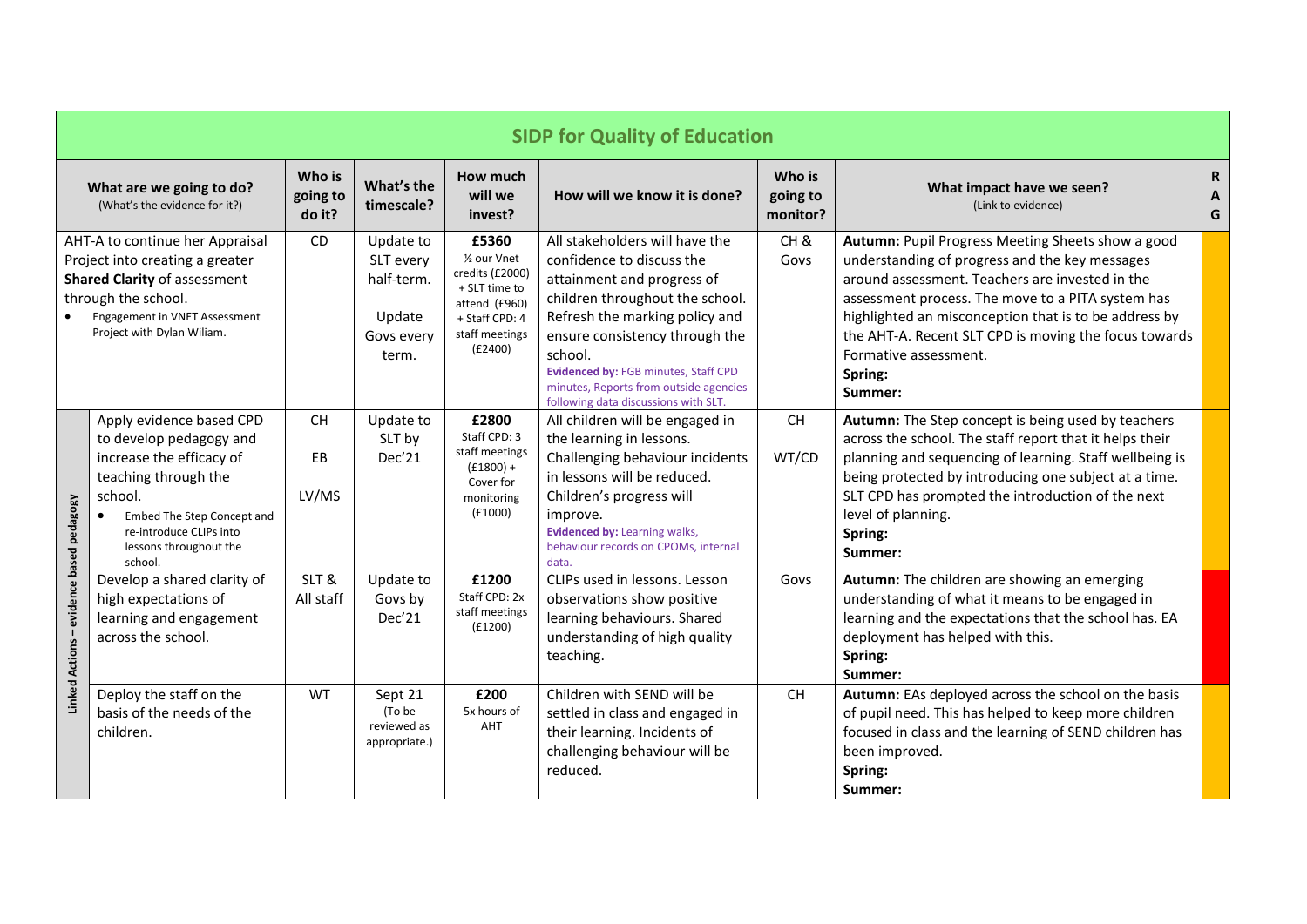|                                                  | <b>SIDP for Quality of Education</b>                                                                                                                                                                             |                              |                                                                       |                                                                                                                                       |                                                                                                                                                                                                                                                                                                                                       |                                |                                                                                                                                                                                                                                                                                                                                                                              |                                     |  |  |
|--------------------------------------------------|------------------------------------------------------------------------------------------------------------------------------------------------------------------------------------------------------------------|------------------------------|-----------------------------------------------------------------------|---------------------------------------------------------------------------------------------------------------------------------------|---------------------------------------------------------------------------------------------------------------------------------------------------------------------------------------------------------------------------------------------------------------------------------------------------------------------------------------|--------------------------------|------------------------------------------------------------------------------------------------------------------------------------------------------------------------------------------------------------------------------------------------------------------------------------------------------------------------------------------------------------------------------|-------------------------------------|--|--|
|                                                  | What are we going to do?<br>(What's the evidence for it?)                                                                                                                                                        | Who is<br>going to<br>do it? | What's the<br>timescale?                                              | How much<br>will we<br>invest?                                                                                                        | How will we know it is done?                                                                                                                                                                                                                                                                                                          | Who is<br>going to<br>monitor? | What impact have we seen?<br>(Link to evidence)                                                                                                                                                                                                                                                                                                                              | R<br>$\boldsymbol{\mathsf{A}}$<br>G |  |  |
|                                                  | AHT-A to continue her Appraisal<br>Project into creating a greater<br><b>Shared Clarity of assessment</b><br>through the school.<br>Engagement in VNET Assessment<br>Project with Dylan Wiliam.                  | <b>CD</b>                    | Update to<br>SLT every<br>half-term.<br>Update<br>Govs every<br>term. | £5360<br>1/ <sub>2</sub> our Vnet<br>credits (£2000)<br>+ SLT time to<br>attend (£960)<br>+ Staff CPD: 4<br>staff meetings<br>(E2400) | All stakeholders will have the<br>confidence to discuss the<br>attainment and progress of<br>children throughout the school.<br>Refresh the marking policy and<br>ensure consistency through the<br>school.<br>Evidenced by: FGB minutes, Staff CPD<br>minutes, Reports from outside agencies<br>following data discussions with SLT. | CH <sub>&amp;</sub><br>Govs    | Autumn: Pupil Progress Meeting Sheets show a good<br>understanding of progress and the key messages<br>around assessment. Teachers are invested in the<br>assessment process. The move to a PITA system has<br>highlighted an misconception that is to be address by<br>the AHT-A. Recent SLT CPD is moving the focus towards<br>Formative assessment.<br>Spring:<br>Summer: |                                     |  |  |
|                                                  | Apply evidence based CPD<br>to develop pedagogy and<br>increase the efficacy of<br>teaching through the<br>school.<br>Embed The Step Concept and<br>re-introduce CLIPs into<br>lessons throughout the<br>school. | <b>CH</b><br>EB<br>LV/MS     | Update to<br>SLT by<br>Dec'21                                         | £2800<br>Staff CPD: 3<br>staff meetings<br>$(f1800) +$<br>Cover for<br>monitoring<br>(E1000)                                          | All children will be engaged in<br>the learning in lessons.<br>Challenging behaviour incidents<br>in lessons will be reduced.<br>Children's progress will<br>improve.<br>Evidenced by: Learning walks,<br>behaviour records on CPOMs, internal<br>data.                                                                               | <b>CH</b><br>WT/CD             | Autumn: The Step concept is being used by teachers<br>across the school. The staff report that it helps their<br>planning and sequencing of learning. Staff wellbeing is<br>being protected by introducing one subject at a time.<br>SLT CPD has prompted the introduction of the next<br>level of planning.<br>Spring:<br>Summer:                                           |                                     |  |  |
| evidence based pedagogy<br><b>Linked Actions</b> | Develop a shared clarity of<br>high expectations of<br>learning and engagement<br>across the school.                                                                                                             | SLT&<br>All staff            | Update to<br>Govs by<br>Dec'21                                        | £1200<br>Staff CPD: 2x<br>staff meetings<br>(E1200)                                                                                   | CLIPs used in lessons. Lesson<br>observations show positive<br>learning behaviours. Shared<br>understanding of high quality<br>teaching.                                                                                                                                                                                              | Govs                           | Autumn: The children are showing an emerging<br>understanding of what it means to be engaged in<br>learning and the expectations that the school has. EA<br>deployment has helped with this.<br>Spring:<br>Summer:                                                                                                                                                           |                                     |  |  |
|                                                  | Deploy the staff on the<br>basis of the needs of the<br>children.                                                                                                                                                | <b>WT</b>                    | Sept 21<br>(To be<br>reviewed as<br>appropriate.)                     | £200<br>5x hours of<br>AHT                                                                                                            | Children with SEND will be<br>settled in class and engaged in<br>their learning. Incidents of<br>challenging behaviour will be<br>reduced.                                                                                                                                                                                            | <b>CH</b>                      | Autumn: EAs deployed across the school on the basis<br>of pupil need. This has helped to keep more children<br>focused in class and the learning of SEND children has<br>been improved.<br>Spring:<br>Summer:                                                                                                                                                                |                                     |  |  |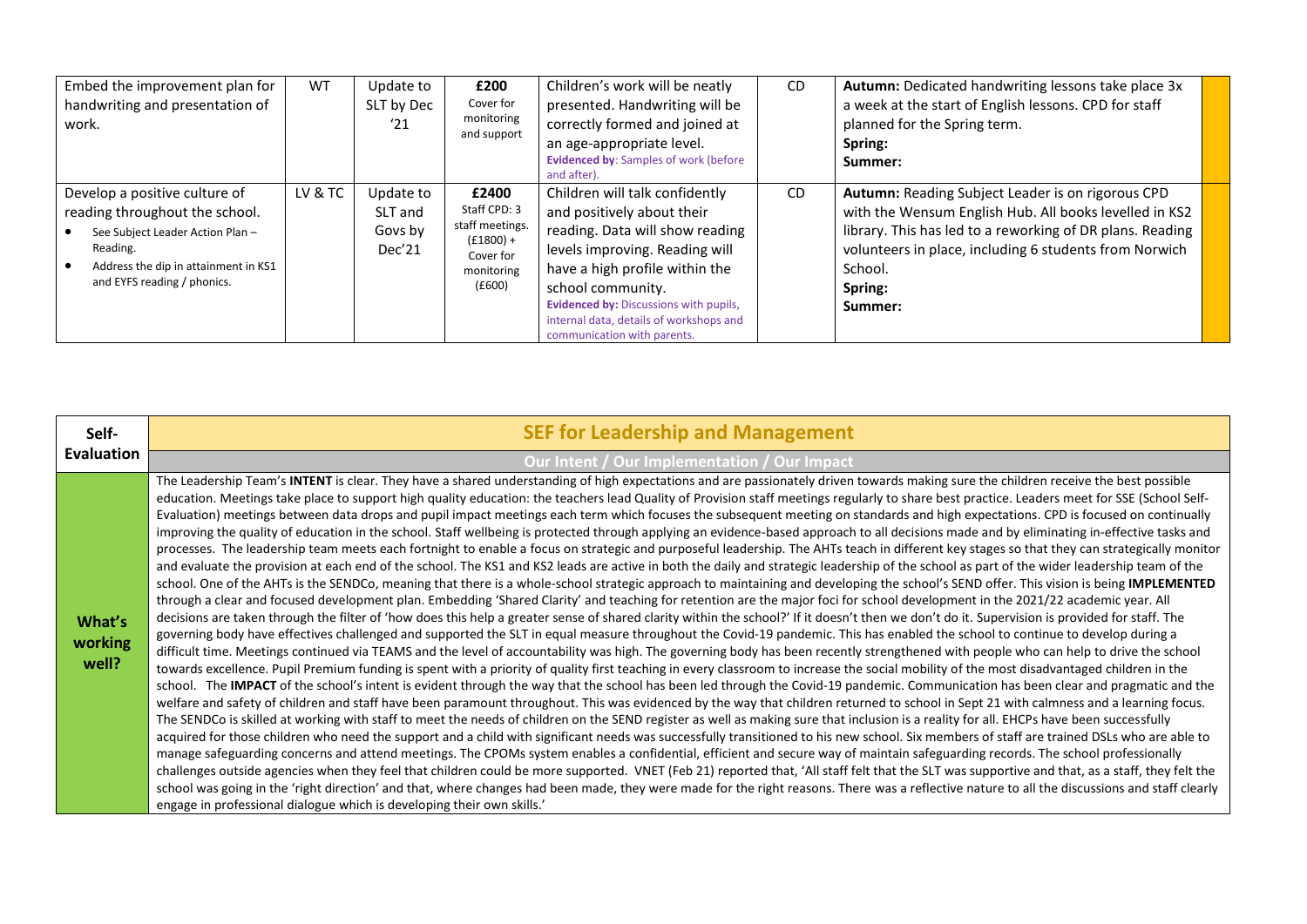| Embed the improvement plan for<br>handwriting and presentation of<br>work.                                                                                                             | WT      | Update to<br>SLT by Dec<br>'21            | £200<br>Cover for<br>monitoring<br>and support                                               | Children's work will be neatly<br>presented. Handwriting will be<br>correctly formed and joined at<br>an age-appropriate level.<br><b>Evidenced by: Samples of work (before</b><br>and after).                                                                                                                      | <b>CD</b> | <b>Autumn:</b> Dedicated handwriting lessons take place 3x<br>a week at the start of English lessons. CPD for staff<br>planned for the Spring term.<br>Spring:<br>Summer:                                                                                           |  |
|----------------------------------------------------------------------------------------------------------------------------------------------------------------------------------------|---------|-------------------------------------------|----------------------------------------------------------------------------------------------|---------------------------------------------------------------------------------------------------------------------------------------------------------------------------------------------------------------------------------------------------------------------------------------------------------------------|-----------|---------------------------------------------------------------------------------------------------------------------------------------------------------------------------------------------------------------------------------------------------------------------|--|
| Develop a positive culture of<br>reading throughout the school.<br>See Subject Leader Action Plan -<br>Reading.<br>Address the dip in attainment in KS1<br>and EYFS reading / phonics. | LV & TC | Update to<br>SLT and<br>Govs by<br>Dec'21 | £2400<br>Staff CPD: 3<br>staff meetings.<br>$(f1800) +$<br>Cover for<br>monitoring<br>(E600) | Children will talk confidently<br>and positively about their<br>reading. Data will show reading<br>levels improving. Reading will<br>have a high profile within the<br>school community.<br><b>Evidenced by: Discussions with pupils,</b><br>internal data, details of workshops and<br>communication with parents. | <b>CD</b> | Autumn: Reading Subject Leader is on rigorous CPD<br>with the Wensum English Hub. All books levelled in KS2<br>library. This has led to a reworking of DR plans. Reading<br>volunteers in place, including 6 students from Norwich<br>School.<br>Spring:<br>Summer: |  |

| Self-                      | <b>SEF for Leadership and Management</b>                                                                                                                                                                                                                                                                                                                                                                                                                                                                                                                                                                                                                                                                                                                                                                                                                                                                                                                                                                                                                                                                                                                                                                                                                                                                                                                                                                                                                                                                                                                                                                                                                                                                                                                                                                                                                                                                                                                                                                                                                                                                                                                                                                                                                                                                                                                                                                                                                                                                                                                                                                                                                                                                                                                                                                                                                                                                                                                                                                                                                                                                                                                                                                                                                                                                                                                                                                                                                                                                                                                                                                                                                                                                                                                              |
|----------------------------|-----------------------------------------------------------------------------------------------------------------------------------------------------------------------------------------------------------------------------------------------------------------------------------------------------------------------------------------------------------------------------------------------------------------------------------------------------------------------------------------------------------------------------------------------------------------------------------------------------------------------------------------------------------------------------------------------------------------------------------------------------------------------------------------------------------------------------------------------------------------------------------------------------------------------------------------------------------------------------------------------------------------------------------------------------------------------------------------------------------------------------------------------------------------------------------------------------------------------------------------------------------------------------------------------------------------------------------------------------------------------------------------------------------------------------------------------------------------------------------------------------------------------------------------------------------------------------------------------------------------------------------------------------------------------------------------------------------------------------------------------------------------------------------------------------------------------------------------------------------------------------------------------------------------------------------------------------------------------------------------------------------------------------------------------------------------------------------------------------------------------------------------------------------------------------------------------------------------------------------------------------------------------------------------------------------------------------------------------------------------------------------------------------------------------------------------------------------------------------------------------------------------------------------------------------------------------------------------------------------------------------------------------------------------------------------------------------------------------------------------------------------------------------------------------------------------------------------------------------------------------------------------------------------------------------------------------------------------------------------------------------------------------------------------------------------------------------------------------------------------------------------------------------------------------------------------------------------------------------------------------------------------------------------------------------------------------------------------------------------------------------------------------------------------------------------------------------------------------------------------------------------------------------------------------------------------------------------------------------------------------------------------------------------------------------------------------------------------------------------------------------------------------|
| <b>Evaluation</b>          | Our Intent / Our Implementation / Our Impact                                                                                                                                                                                                                                                                                                                                                                                                                                                                                                                                                                                                                                                                                                                                                                                                                                                                                                                                                                                                                                                                                                                                                                                                                                                                                                                                                                                                                                                                                                                                                                                                                                                                                                                                                                                                                                                                                                                                                                                                                                                                                                                                                                                                                                                                                                                                                                                                                                                                                                                                                                                                                                                                                                                                                                                                                                                                                                                                                                                                                                                                                                                                                                                                                                                                                                                                                                                                                                                                                                                                                                                                                                                                                                                          |
| What's<br>working<br>well? | The Leadership Team's INTENT is clear. They have a shared understanding of high expectations and are passionately driven towards making sure the children receive the best possible<br>education. Meetings take place to support high quality education: the teachers lead Quality of Provision staff meetings regularly to share best practice. Leaders meet for SSE (School Self-<br>Evaluation) meetings between data drops and pupil impact meetings each term which focuses the subsequent meeting on standards and high expectations. CPD is focused on continually<br>improving the quality of education in the school. Staff wellbeing is protected through applying an evidence-based approach to all decisions made and by eliminating in-effective tasks and<br>processes. The leadership team meets each fortnight to enable a focus on strategic and purposeful leadership. The AHTs teach in different key stages so that they can strategically monitor<br>and evaluate the provision at each end of the school. The KS1 and KS2 leads are active in both the daily and strategic leadership of the school as part of the wider leadership team of the<br>school. One of the AHTs is the SENDCo, meaning that there is a whole-school strategic approach to maintaining and developing the school's SEND offer. This vision is being IMPLEMENTED<br>through a clear and focused development plan. Embedding 'Shared Clarity' and teaching for retention are the major foci for school development in the 2021/22 academic year. All<br>decisions are taken through the filter of 'how does this help a greater sense of shared clarity within the school?' If it doesn't then we don't do it. Supervision is provided for staff. The<br>governing body have effectives challenged and supported the SLT in equal measure throughout the Covid-19 pandemic. This has enabled the school to continue to develop during a<br>difficult time. Meetings continued via TEAMS and the level of accountability was high. The governing body has been recently strengthened with people who can help to drive the school<br>towards excellence. Pupil Premium funding is spent with a priority of quality first teaching in every classroom to increase the social mobility of the most disadvantaged children in the<br>school. The IMPACT of the school's intent is evident through the way that the school has been led through the Covid-19 pandemic. Communication has been clear and pragmatic and the<br>welfare and safety of children and staff have been paramount throughout. This was evidenced by the way that children returned to school in Sept 21 with calmness and a learning focus.<br>The SENDCo is skilled at working with staff to meet the needs of children on the SEND register as well as making sure that inclusion is a reality for all. EHCPs have been successfully<br>acquired for those children who need the support and a child with significant needs was successfully transitioned to his new school. Six members of staff are trained DSLs who are able to<br>manage safeguarding concerns and attend meetings. The CPOMs system enables a confidential, efficient and secure way of maintain safeguarding records. The school professionally<br>challenges outside agencies when they feel that children could be more supported. VNET (Feb 21) reported that, 'All staff felt that the SLT was supportive and that, as a staff, they felt the<br>school was going in the 'right direction' and that, where changes had been made, they were made for the right reasons. There was a reflective nature to all the discussions and staff clearly<br>engage in professional dialogue which is developing their own skills.' |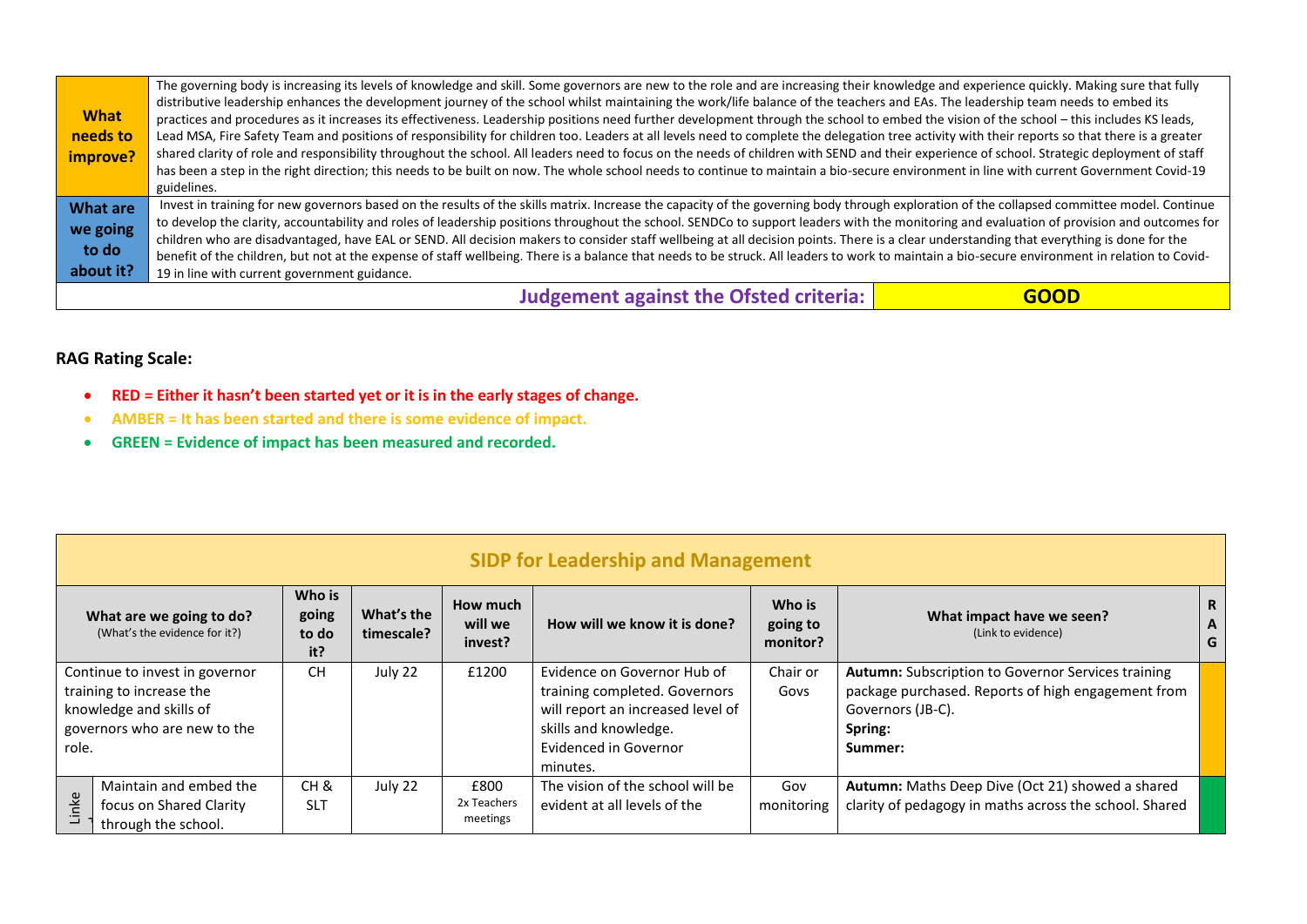|                 | The governing body is increasing its levels of knowledge and skill. Some governors are new to the role and are increasing their knowledge and experience quickly. Making sure that fully       |             |
|-----------------|------------------------------------------------------------------------------------------------------------------------------------------------------------------------------------------------|-------------|
|                 | distributive leadership enhances the development journey of the school whilst maintaining the work/life balance of the teachers and EAs. The leadership team needs to embed its                |             |
| <b>What</b>     | practices and procedures as it increases its effectiveness. Leadership positions need further development through the school to embed the vision of the school - this includes KS leads,       |             |
| needs to        | Lead MSA, Fire Safety Team and positions of responsibility for children too. Leaders at all levels need to complete the delegation tree activity with their reports so that there is a greater |             |
| improve?        | shared clarity of role and responsibility throughout the school. All leaders need to focus on the needs of children with SEND and their experience of school. Strategic deployment of staff    |             |
|                 | has been a step in the right direction; this needs to be built on now. The whole school needs to continue to maintain a bio-secure environment in line with current Government Covid-19        |             |
|                 | guidelines.                                                                                                                                                                                    |             |
| <b>What are</b> | Invest in training for new governors based on the results of the skills matrix. Increase the capacity of the governing body through exploration of the collapsed committee model. Continue     |             |
| we going        | to develop the clarity, accountability and roles of leadership positions throughout the school. SENDCo to support leaders with the monitoring and evaluation of provision and outcomes for     |             |
| to do           | children who are disadvantaged, have EAL or SEND. All decision makers to consider staff wellbeing at all decision points. There is a clear understanding that everything is done for the       |             |
|                 | benefit of the children, but not at the expense of staff wellbeing. There is a balance that needs to be struck. All leaders to work to maintain a bio-secure environment in relation to Covid- |             |
| about it?       | 19 in line with current government guidance.                                                                                                                                                   |             |
|                 | <b>Judgement against the Ofsted criteria:</b>                                                                                                                                                  | <b>GOOD</b> |

- **RED = Either it hasn't been started yet or it is in the early stages of change.**
- **AMBER = It has been started and there is some evidence of impact.**
- **GREEN = Evidence of impact has been measured and recorded.**

|       | <b>SIDP for Leadership and Management</b>                                                                             |                                   |                          |                                 |                                                                                                                                                                 |                                |                                                                                                                                                     |             |  |  |
|-------|-----------------------------------------------------------------------------------------------------------------------|-----------------------------------|--------------------------|---------------------------------|-----------------------------------------------------------------------------------------------------------------------------------------------------------------|--------------------------------|-----------------------------------------------------------------------------------------------------------------------------------------------------|-------------|--|--|
|       | What are we going to do?<br>(What's the evidence for it?)                                                             | Who is<br>going<br>to do<br>it?   | What's the<br>timescale? | How much<br>will we<br>invest?  | How will we know it is done?                                                                                                                                    | Who is<br>going to<br>monitor? | What impact have we seen?<br>(Link to evidence)                                                                                                     | R<br>A<br>G |  |  |
| role. | Continue to invest in governor<br>training to increase the<br>knowledge and skills of<br>governors who are new to the | <b>CH</b>                         | July 22                  | £1200                           | Evidence on Governor Hub of<br>training completed. Governors<br>will report an increased level of<br>skills and knowledge.<br>Evidenced in Governor<br>minutes. | Chair or<br>Govs               | Autumn: Subscription to Governor Services training<br>package purchased. Reports of high engagement from<br>Governors (JB-C).<br>Spring:<br>Summer: |             |  |  |
| Linke | Maintain and embed the<br>focus on Shared Clarity<br>through the school.                                              | CH <sub>&amp;</sub><br><b>SLT</b> | July 22                  | £800<br>2x Teachers<br>meetings | The vision of the school will be<br>evident at all levels of the                                                                                                | Gov<br>monitoring              | Autumn: Maths Deep Dive (Oct 21) showed a shared<br>clarity of pedagogy in maths across the school. Shared                                          |             |  |  |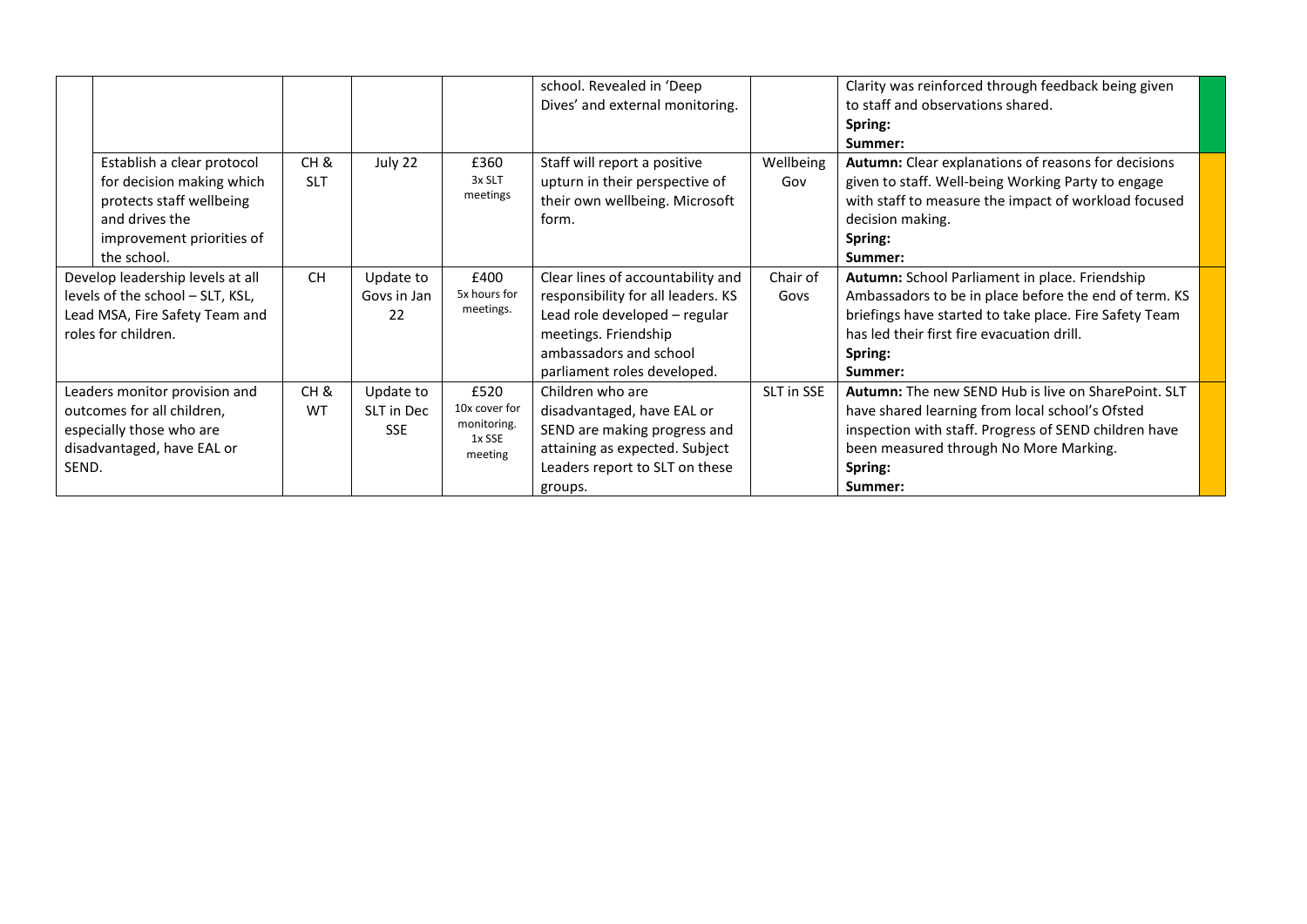|       |                                                                                                                                                   |                    |                                       |                                                           | school. Revealed in 'Deep<br>Dives' and external monitoring.                                                                                                                              |                  | Clarity was reinforced through feedback being given<br>to staff and observations shared.<br>Spring:<br>Summer:                                                                                                                         |  |
|-------|---------------------------------------------------------------------------------------------------------------------------------------------------|--------------------|---------------------------------------|-----------------------------------------------------------|-------------------------------------------------------------------------------------------------------------------------------------------------------------------------------------------|------------------|----------------------------------------------------------------------------------------------------------------------------------------------------------------------------------------------------------------------------------------|--|
|       | Establish a clear protocol<br>for decision making which<br>protects staff wellbeing<br>and drives the<br>improvement priorities of<br>the school. | CH &<br><b>SLT</b> | July 22                               | £360<br>3x SLT<br>meetings                                | Staff will report a positive<br>upturn in their perspective of<br>their own wellbeing. Microsoft<br>form.                                                                                 | Wellbeing<br>Gov | Autumn: Clear explanations of reasons for decisions<br>given to staff. Well-being Working Party to engage<br>with staff to measure the impact of workload focused<br>decision making.<br>Spring:<br>Summer:                            |  |
|       | Develop leadership levels at all<br>levels of the school - SLT, KSL,<br>Lead MSA, Fire Safety Team and<br>roles for children.                     | <b>CH</b>          | Update to<br>Govs in Jan<br>22        | £400<br>5x hours for<br>meetings.                         | Clear lines of accountability and<br>responsibility for all leaders. KS<br>Lead role developed - regular<br>meetings. Friendship<br>ambassadors and school<br>parliament roles developed. | Chair of<br>Govs | Autumn: School Parliament in place. Friendship<br>Ambassadors to be in place before the end of term. KS<br>briefings have started to take place. Fire Safety Team<br>has led their first fire evacuation drill.<br>Spring:<br>Summer:  |  |
| SEND. | Leaders monitor provision and<br>outcomes for all children,<br>especially those who are<br>disadvantaged, have EAL or                             | CH &<br>WT         | Update to<br>SLT in Dec<br><b>SSE</b> | £520<br>10x cover for<br>monitoring.<br>1x SSE<br>meeting | Children who are<br>disadvantaged, have EAL or<br>SEND are making progress and<br>attaining as expected. Subject<br>Leaders report to SLT on these<br>groups.                             | SLT in SSE       | <b>Autumn:</b> The new SEND Hub is live on SharePoint. SLT<br>have shared learning from local school's Ofsted<br>inspection with staff. Progress of SEND children have<br>been measured through No More Marking.<br>Spring:<br>Summer: |  |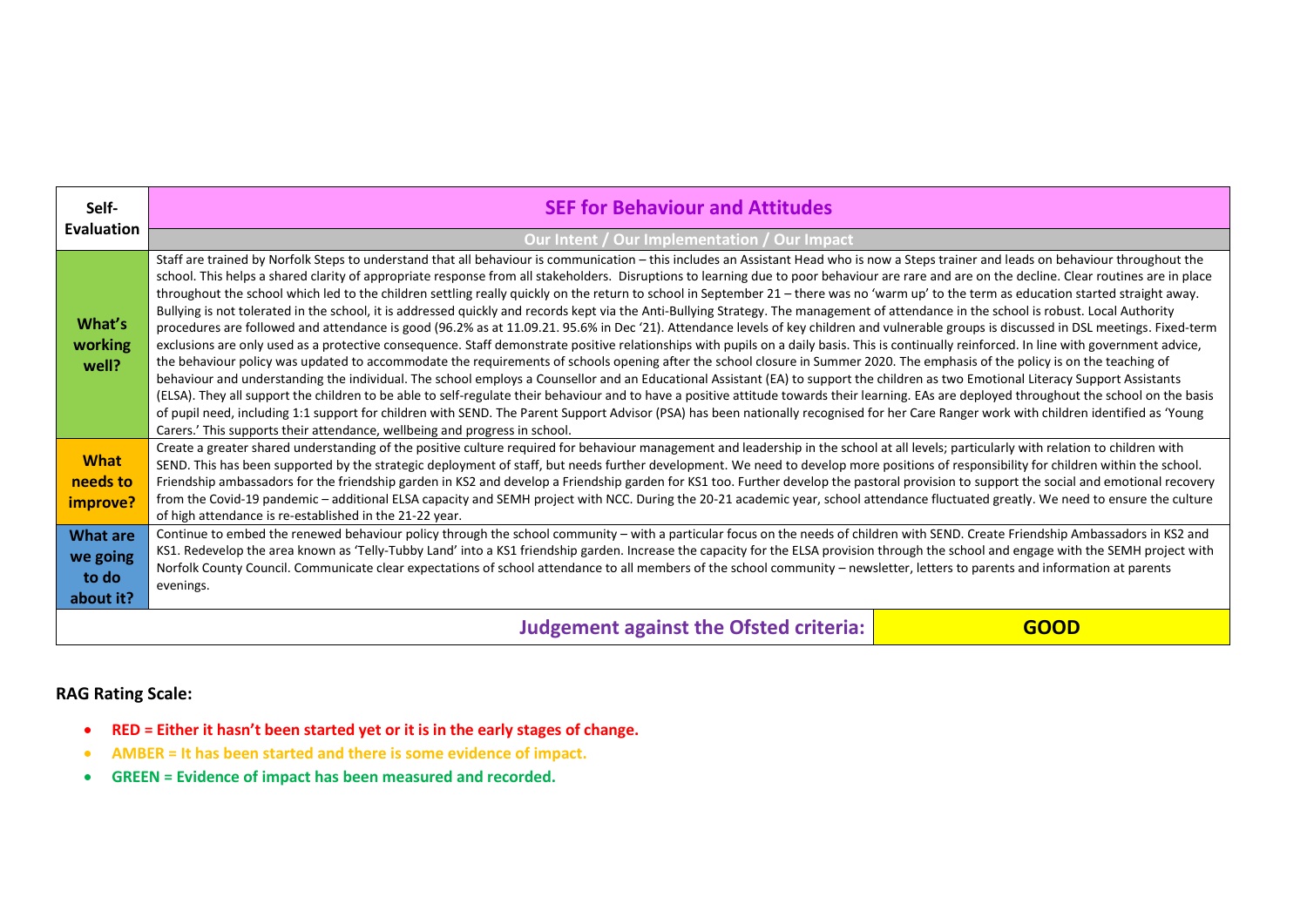| Self-                                             | <b>SEF for Behaviour and Attitudes</b>                                                                                                                                                                                                                                                                                                                                                                                                                                                                                                                                                                                                                                                                                                                                                                                                                                                                                                                                                                                                                                                                                                                                                                                                                                                                                                                                                                                                                                                                                                                                                                                                                                                                                                                                                                                                                                                                                                                                                                                         |             |  |  |  |  |  |
|---------------------------------------------------|--------------------------------------------------------------------------------------------------------------------------------------------------------------------------------------------------------------------------------------------------------------------------------------------------------------------------------------------------------------------------------------------------------------------------------------------------------------------------------------------------------------------------------------------------------------------------------------------------------------------------------------------------------------------------------------------------------------------------------------------------------------------------------------------------------------------------------------------------------------------------------------------------------------------------------------------------------------------------------------------------------------------------------------------------------------------------------------------------------------------------------------------------------------------------------------------------------------------------------------------------------------------------------------------------------------------------------------------------------------------------------------------------------------------------------------------------------------------------------------------------------------------------------------------------------------------------------------------------------------------------------------------------------------------------------------------------------------------------------------------------------------------------------------------------------------------------------------------------------------------------------------------------------------------------------------------------------------------------------------------------------------------------------|-------------|--|--|--|--|--|
| <b>Evaluation</b>                                 | Our Intent / Our Implementation / Our Impact                                                                                                                                                                                                                                                                                                                                                                                                                                                                                                                                                                                                                                                                                                                                                                                                                                                                                                                                                                                                                                                                                                                                                                                                                                                                                                                                                                                                                                                                                                                                                                                                                                                                                                                                                                                                                                                                                                                                                                                   |             |  |  |  |  |  |
| What's<br>working<br>well?                        | Staff are trained by Norfolk Steps to understand that all behaviour is communication - this includes an Assistant Head who is now a Steps trainer and leads on behaviour throughout the<br>school. This helps a shared clarity of appropriate response from all stakeholders. Disruptions to learning due to poor behaviour are rare and are on the decline. Clear routines are in place<br>throughout the school which led to the children settling really quickly on the return to school in September 21 - there was no 'warm up' to the term as education started straight away.<br>Bullying is not tolerated in the school, it is addressed quickly and records kept via the Anti-Bullying Strategy. The management of attendance in the school is robust. Local Authority<br>procedures are followed and attendance is good (96.2% as at 11.09.21. 95.6% in Dec '21). Attendance levels of key children and vulnerable groups is discussed in DSL meetings. Fixed-term<br>exclusions are only used as a protective consequence. Staff demonstrate positive relationships with pupils on a daily basis. This is continually reinforced. In line with government advice,<br>the behaviour policy was updated to accommodate the requirements of schools opening after the school closure in Summer 2020. The emphasis of the policy is on the teaching of<br>behaviour and understanding the individual. The school employs a Counsellor and an Educational Assistant (EA) to support the children as two Emotional Literacy Support Assistants<br>(ELSA). They all support the children to be able to self-regulate their behaviour and to have a positive attitude towards their learning. EAs are deployed throughout the school on the basis<br>of pupil need, including 1:1 support for children with SEND. The Parent Support Advisor (PSA) has been nationally recognised for her Care Ranger work with children identified as 'Young<br>Carers.' This supports their attendance, wellbeing and progress in school. |             |  |  |  |  |  |
| <b>What</b>                                       | Create a greater shared understanding of the positive culture required for behaviour management and leadership in the school at all levels; particularly with relation to children with<br>SEND. This has been supported by the strategic deployment of staff, but needs further development. We need to develop more positions of responsibility for children within the school.                                                                                                                                                                                                                                                                                                                                                                                                                                                                                                                                                                                                                                                                                                                                                                                                                                                                                                                                                                                                                                                                                                                                                                                                                                                                                                                                                                                                                                                                                                                                                                                                                                              |             |  |  |  |  |  |
| needs to                                          | Friendship ambassadors for the friendship garden in KS2 and develop a Friendship garden for KS1 too. Further develop the pastoral provision to support the social and emotional recovery                                                                                                                                                                                                                                                                                                                                                                                                                                                                                                                                                                                                                                                                                                                                                                                                                                                                                                                                                                                                                                                                                                                                                                                                                                                                                                                                                                                                                                                                                                                                                                                                                                                                                                                                                                                                                                       |             |  |  |  |  |  |
| improve?                                          | from the Covid-19 pandemic - additional ELSA capacity and SEMH project with NCC. During the 20-21 academic year, school attendance fluctuated greatly. We need to ensure the culture<br>of high attendance is re-established in the 21-22 year.                                                                                                                                                                                                                                                                                                                                                                                                                                                                                                                                                                                                                                                                                                                                                                                                                                                                                                                                                                                                                                                                                                                                                                                                                                                                                                                                                                                                                                                                                                                                                                                                                                                                                                                                                                                |             |  |  |  |  |  |
| <b>What are</b><br>we going<br>to do<br>about it? | Continue to embed the renewed behaviour policy through the school community - with a particular focus on the needs of children with SEND. Create Friendship Ambassadors in KS2 and<br>KS1. Redevelop the area known as 'Telly-Tubby Land' into a KS1 friendship garden. Increase the capacity for the ELSA provision through the school and engage with the SEMH project with<br>Norfolk County Council. Communicate clear expectations of school attendance to all members of the school community – newsletter, letters to parents and information at parents<br>evenings.                                                                                                                                                                                                                                                                                                                                                                                                                                                                                                                                                                                                                                                                                                                                                                                                                                                                                                                                                                                                                                                                                                                                                                                                                                                                                                                                                                                                                                                   |             |  |  |  |  |  |
|                                                   | <b>Judgement against the Ofsted criteria:</b>                                                                                                                                                                                                                                                                                                                                                                                                                                                                                                                                                                                                                                                                                                                                                                                                                                                                                                                                                                                                                                                                                                                                                                                                                                                                                                                                                                                                                                                                                                                                                                                                                                                                                                                                                                                                                                                                                                                                                                                  | <b>GOOD</b> |  |  |  |  |  |

- **RED = Either it hasn't been started yet or it is in the early stages of change.**
- **AMBER = It has been started and there is some evidence of impact.**
- **GREEN = Evidence of impact has been measured and recorded.**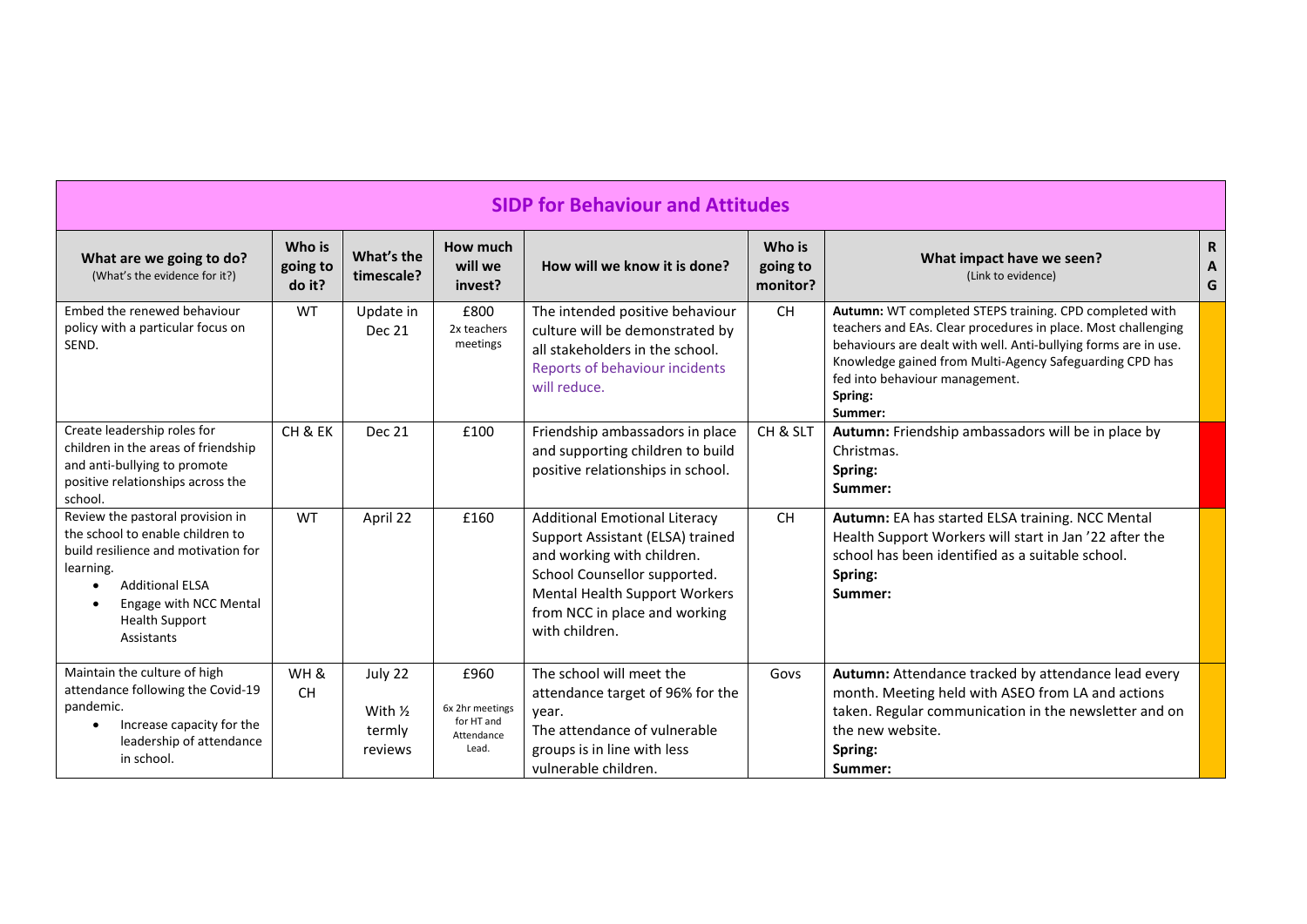| <b>SIDP for Behaviour and Attitudes</b>                                                                                                                                                                                                       |                              |                                                    |                                                              |                                                                                                                                                                                                                            |                                |                                                                                                                                                                                                                                                                                                                |                                     |  |  |  |
|-----------------------------------------------------------------------------------------------------------------------------------------------------------------------------------------------------------------------------------------------|------------------------------|----------------------------------------------------|--------------------------------------------------------------|----------------------------------------------------------------------------------------------------------------------------------------------------------------------------------------------------------------------------|--------------------------------|----------------------------------------------------------------------------------------------------------------------------------------------------------------------------------------------------------------------------------------------------------------------------------------------------------------|-------------------------------------|--|--|--|
| What are we going to do?<br>(What's the evidence for it?)                                                                                                                                                                                     | Who is<br>going to<br>do it? | What's the<br>timescale?                           | How much<br>will we<br>invest?                               | How will we know it is done?                                                                                                                                                                                               | Who is<br>going to<br>monitor? | What impact have we seen?<br>(Link to evidence)                                                                                                                                                                                                                                                                | R<br>$\boldsymbol{\mathsf{A}}$<br>G |  |  |  |
| Embed the renewed behaviour<br>policy with a particular focus on<br>SEND.                                                                                                                                                                     | <b>WT</b>                    | Update in<br>Dec 21                                | £800<br>2x teachers<br>meetings                              | The intended positive behaviour<br>culture will be demonstrated by<br>all stakeholders in the school.<br>Reports of behaviour incidents<br>will reduce.                                                                    | <b>CH</b>                      | Autumn: WT completed STEPS training. CPD completed with<br>teachers and EAs. Clear procedures in place. Most challenging<br>behaviours are dealt with well. Anti-bullying forms are in use.<br>Knowledge gained from Multi-Agency Safeguarding CPD has<br>fed into behaviour management.<br>Spring:<br>Summer: |                                     |  |  |  |
| Create leadership roles for<br>children in the areas of friendship<br>and anti-bullying to promote<br>positive relationships across the<br>school.                                                                                            | CH & EK                      | Dec 21                                             | £100                                                         | Friendship ambassadors in place<br>and supporting children to build<br>positive relationships in school.                                                                                                                   | CH & SLT                       | Autumn: Friendship ambassadors will be in place by<br>Christmas.<br>Spring:<br>Summer:                                                                                                                                                                                                                         |                                     |  |  |  |
| Review the pastoral provision in<br>the school to enable children to<br>build resilience and motivation for<br>learning.<br><b>Additional ELSA</b><br>$\bullet$<br>Engage with NCC Mental<br>$\bullet$<br><b>Health Support</b><br>Assistants | <b>WT</b>                    | April 22                                           | £160                                                         | <b>Additional Emotional Literacy</b><br>Support Assistant (ELSA) trained<br>and working with children.<br>School Counsellor supported.<br>Mental Health Support Workers<br>from NCC in place and working<br>with children. | <b>CH</b>                      | Autumn: EA has started ELSA training. NCC Mental<br>Health Support Workers will start in Jan '22 after the<br>school has been identified as a suitable school.<br>Spring:<br>Summer:                                                                                                                           |                                     |  |  |  |
| Maintain the culture of high<br>attendance following the Covid-19<br>pandemic.<br>Increase capacity for the<br>$\bullet$<br>leadership of attendance<br>in school.                                                                            | WH&<br><b>CH</b>             | July 22<br>With $\frac{1}{2}$<br>termly<br>reviews | £960<br>6x 2hr meetings<br>for HT and<br>Attendance<br>Lead. | The school will meet the<br>attendance target of 96% for the<br>year.<br>The attendance of vulnerable<br>groups is in line with less<br>vulnerable children.                                                               | Govs                           | Autumn: Attendance tracked by attendance lead every<br>month. Meeting held with ASEO from LA and actions<br>taken. Regular communication in the newsletter and on<br>the new website.<br>Spring:<br>Summer:                                                                                                    |                                     |  |  |  |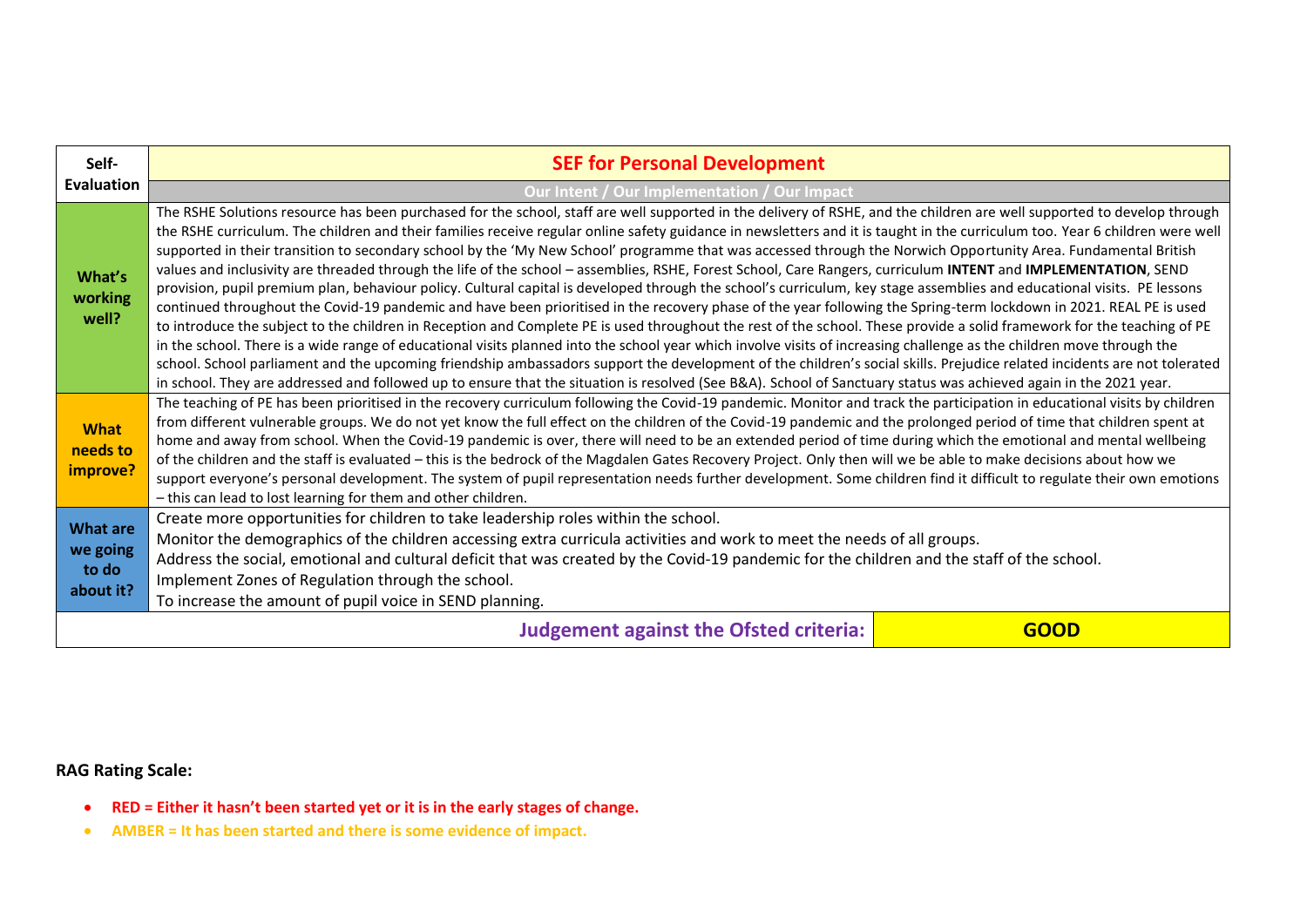| Self-                                             | <b>SEF for Personal Development</b>                                                                                                                                                                                                                                                                                                                                                                                                                                                                                                                                                                                                                                                                                                                                                                                                                                                                                                                                                                                                                                                                                                                                                                                                                                                                                                                                                                                                                                                                                                                                                                                                                                                                                                               |             |  |  |  |  |  |
|---------------------------------------------------|---------------------------------------------------------------------------------------------------------------------------------------------------------------------------------------------------------------------------------------------------------------------------------------------------------------------------------------------------------------------------------------------------------------------------------------------------------------------------------------------------------------------------------------------------------------------------------------------------------------------------------------------------------------------------------------------------------------------------------------------------------------------------------------------------------------------------------------------------------------------------------------------------------------------------------------------------------------------------------------------------------------------------------------------------------------------------------------------------------------------------------------------------------------------------------------------------------------------------------------------------------------------------------------------------------------------------------------------------------------------------------------------------------------------------------------------------------------------------------------------------------------------------------------------------------------------------------------------------------------------------------------------------------------------------------------------------------------------------------------------------|-------------|--|--|--|--|--|
| <b>Evaluation</b>                                 | Our Intent / Our Implementation / Our Impact                                                                                                                                                                                                                                                                                                                                                                                                                                                                                                                                                                                                                                                                                                                                                                                                                                                                                                                                                                                                                                                                                                                                                                                                                                                                                                                                                                                                                                                                                                                                                                                                                                                                                                      |             |  |  |  |  |  |
| What's<br>working<br>well?                        | The RSHE Solutions resource has been purchased for the school, staff are well supported in the delivery of RSHE, and the children are well supported to develop through<br>the RSHE curriculum. The children and their families receive regular online safety guidance in newsletters and it is taught in the curriculum too. Year 6 children were well<br>supported in their transition to secondary school by the 'My New School' programme that was accessed through the Norwich Opportunity Area. Fundamental British<br>values and inclusivity are threaded through the life of the school - assemblies, RSHE, Forest School, Care Rangers, curriculum INTENT and IMPLEMENTATION, SEND<br>provision, pupil premium plan, behaviour policy. Cultural capital is developed through the school's curriculum, key stage assemblies and educational visits. PE lessons<br>continued throughout the Covid-19 pandemic and have been prioritised in the recovery phase of the year following the Spring-term lockdown in 2021. REAL PE is used<br>to introduce the subject to the children in Reception and Complete PE is used throughout the rest of the school. These provide a solid framework for the teaching of PE<br>in the school. There is a wide range of educational visits planned into the school year which involve visits of increasing challenge as the children move through the<br>school. School parliament and the upcoming friendship ambassadors support the development of the children's social skills. Prejudice related incidents are not tolerated<br>in school. They are addressed and followed up to ensure that the situation is resolved (See B&A). School of Sanctuary status was achieved again in the 2021 year. |             |  |  |  |  |  |
| <b>What</b><br>needs to<br>improve?               | The teaching of PE has been prioritised in the recovery curriculum following the Covid-19 pandemic. Monitor and track the participation in educational visits by children<br>from different vulnerable groups. We do not yet know the full effect on the children of the Covid-19 pandemic and the prolonged period of time that children spent at<br>home and away from school. When the Covid-19 pandemic is over, there will need to be an extended period of time during which the emotional and mental wellbeing<br>of the children and the staff is evaluated - this is the bedrock of the Magdalen Gates Recovery Project. Only then will we be able to make decisions about how we<br>support everyone's personal development. The system of pupil representation needs further development. Some children find it difficult to regulate their own emotions<br>- this can lead to lost learning for them and other children.                                                                                                                                                                                                                                                                                                                                                                                                                                                                                                                                                                                                                                                                                                                                                                                                              |             |  |  |  |  |  |
| <b>What are</b><br>we going<br>to do<br>about it? | Create more opportunities for children to take leadership roles within the school.<br>Monitor the demographics of the children accessing extra curricula activities and work to meet the needs of all groups.<br>Address the social, emotional and cultural deficit that was created by the Covid-19 pandemic for the children and the staff of the school.<br>Implement Zones of Regulation through the school.<br>To increase the amount of pupil voice in SEND planning.                                                                                                                                                                                                                                                                                                                                                                                                                                                                                                                                                                                                                                                                                                                                                                                                                                                                                                                                                                                                                                                                                                                                                                                                                                                                       |             |  |  |  |  |  |
|                                                   | <b>Judgement against the Ofsted criteria:</b>                                                                                                                                                                                                                                                                                                                                                                                                                                                                                                                                                                                                                                                                                                                                                                                                                                                                                                                                                                                                                                                                                                                                                                                                                                                                                                                                                                                                                                                                                                                                                                                                                                                                                                     | <b>GOOD</b> |  |  |  |  |  |

- **RED = Either it hasn't been started yet or it is in the early stages of change.**
- **AMBER = It has been started and there is some evidence of impact.**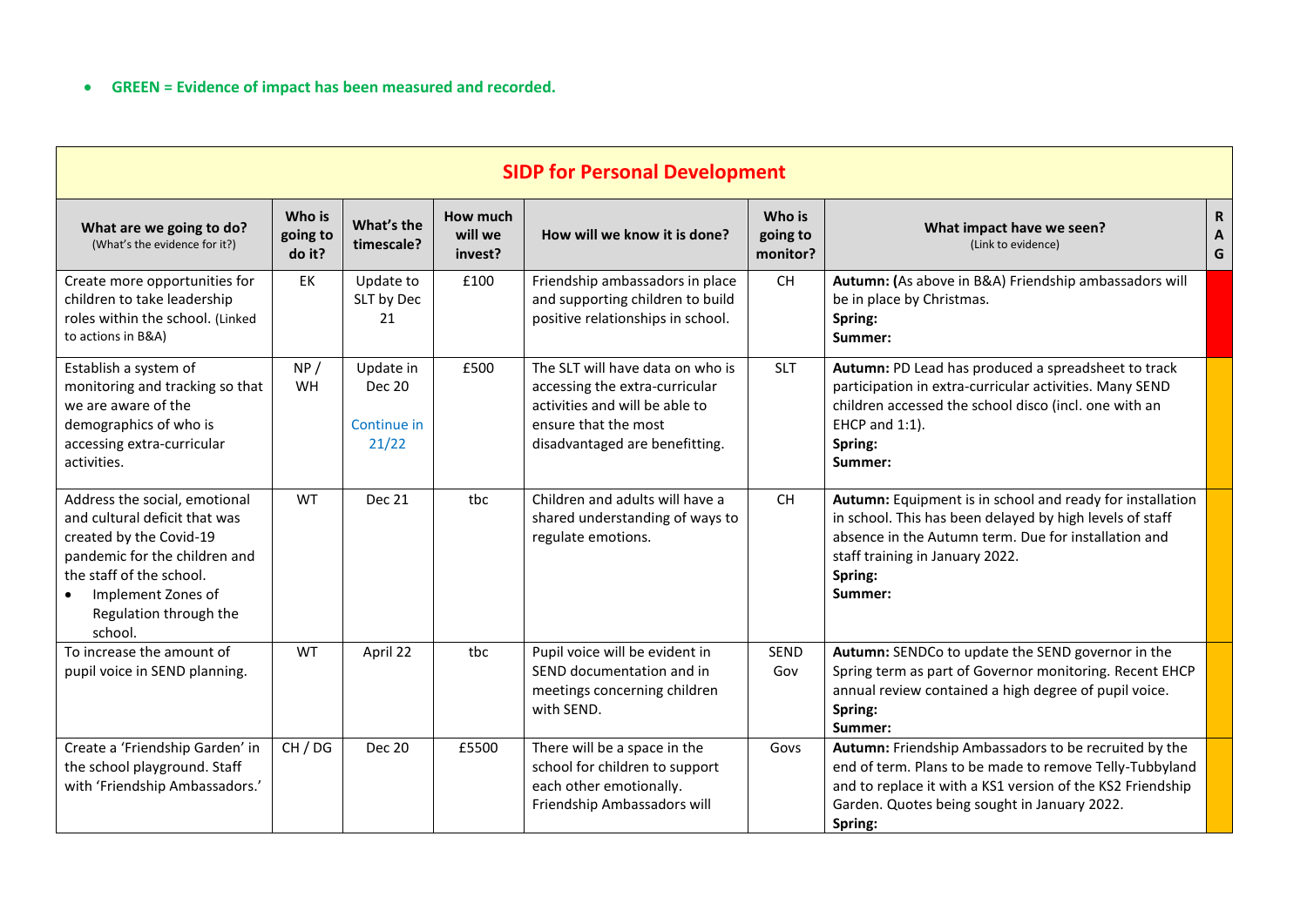| <b>SIDP for Personal Development</b>                                                                                                                                                                                           |                              |                                                    |                                |                                                                                                                                                                |                                          |                                                                                                                                                                                                                                           |                        |  |  |
|--------------------------------------------------------------------------------------------------------------------------------------------------------------------------------------------------------------------------------|------------------------------|----------------------------------------------------|--------------------------------|----------------------------------------------------------------------------------------------------------------------------------------------------------------|------------------------------------------|-------------------------------------------------------------------------------------------------------------------------------------------------------------------------------------------------------------------------------------------|------------------------|--|--|
| What are we going to do?<br>(What's the evidence for it?)                                                                                                                                                                      | Who is<br>going to<br>do it? | What's the<br>timescale?                           | How much<br>will we<br>invest? | How will we know it is done?                                                                                                                                   | Who is<br>going to<br>monitor?           | What impact have we seen?<br>(Link to evidence)                                                                                                                                                                                           | $\mathsf{R}$<br>A<br>G |  |  |
| Create more opportunities for<br>children to take leadership<br>roles within the school. (Linked<br>to actions in B&A)                                                                                                         | EK                           | Update to<br>SLT by Dec<br>21                      | £100                           | Friendship ambassadors in place<br>and supporting children to build<br>positive relationships in school.                                                       | $\mathsf{CH}% \left( \mathcal{M}\right)$ | Autumn: (As above in B&A) Friendship ambassadors will<br>be in place by Christmas.<br>Spring:<br>Summer:                                                                                                                                  |                        |  |  |
| Establish a system of<br>monitoring and tracking so that<br>we are aware of the<br>demographics of who is<br>accessing extra-curricular<br>activities.                                                                         | NP/<br>WH                    | Update in<br><b>Dec 20</b><br>Continue in<br>21/22 | £500                           | The SLT will have data on who is<br>accessing the extra-curricular<br>activities and will be able to<br>ensure that the most<br>disadvantaged are benefitting. | <b>SLT</b>                               | Autumn: PD Lead has produced a spreadsheet to track<br>participation in extra-curricular activities. Many SEND<br>children accessed the school disco (incl. one with an<br>EHCP and 1:1).<br>Spring:<br>Summer:                           |                        |  |  |
| Address the social, emotional<br>and cultural deficit that was<br>created by the Covid-19<br>pandemic for the children and<br>the staff of the school.<br>Implement Zones of<br>$\bullet$<br>Regulation through the<br>school. | WT                           | <b>Dec 21</b>                                      | tbc                            | Children and adults will have a<br>shared understanding of ways to<br>regulate emotions.                                                                       | CH                                       | Autumn: Equipment is in school and ready for installation<br>in school. This has been delayed by high levels of staff<br>absence in the Autumn term. Due for installation and<br>staff training in January 2022.<br>Spring:<br>Summer:    |                        |  |  |
| To increase the amount of<br>pupil voice in SEND planning.                                                                                                                                                                     | WT                           | April 22                                           | tbc                            | Pupil voice will be evident in<br>SEND documentation and in<br>meetings concerning children<br>with SEND.                                                      | <b>SEND</b><br>Gov                       | Autumn: SENDCo to update the SEND governor in the<br>Spring term as part of Governor monitoring. Recent EHCP<br>annual review contained a high degree of pupil voice.<br>Spring:<br>Summer:                                               |                        |  |  |
| Create a 'Friendship Garden' in<br>the school playground. Staff<br>with 'Friendship Ambassadors.'                                                                                                                              | CH / DG                      | <b>Dec 20</b>                                      | £5500                          | There will be a space in the<br>school for children to support<br>each other emotionally.<br>Friendship Ambassadors will                                       | Govs                                     | Autumn: Friendship Ambassadors to be recruited by the<br>end of term. Plans to be made to remove Telly-Tubbyland<br>and to replace it with a KS1 version of the KS2 Friendship<br>Garden. Quotes being sought in January 2022.<br>Spring: |                        |  |  |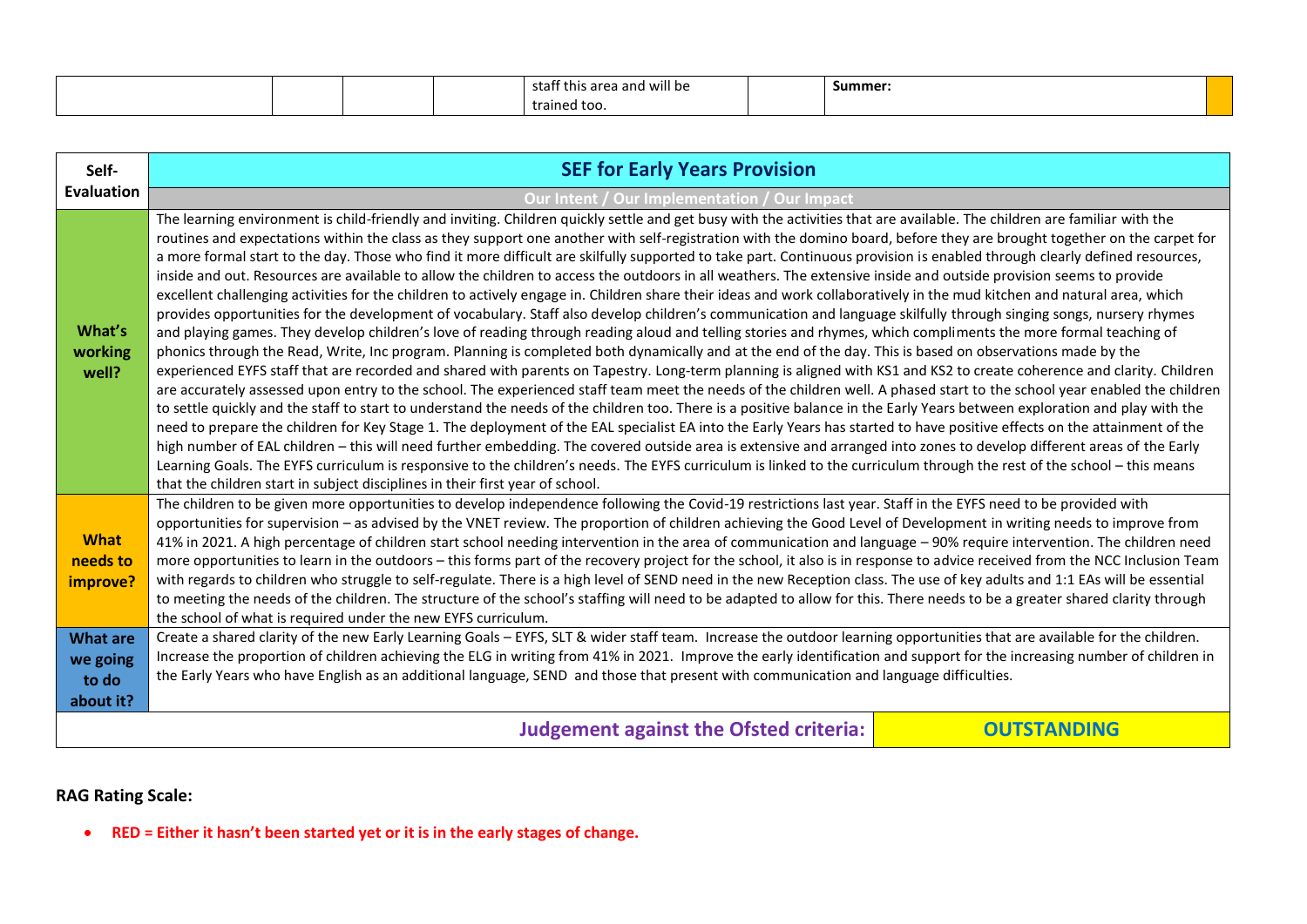|  |  | this area and '<br>will be<br>зтатт | Summer: |
|--|--|-------------------------------------|---------|
|  |  | tra<br>rined too.                   |         |

| Self-                                                              | <b>SEF for Early Years Provision</b>                                                                                                                                                                                                                                                                                                                                                                                                                                                                                                                                                                                                                                                                                                                                                                                                                                                                                                                                                                                                                                                                                                                                                                                                                                                                                                                                                                                                                                                                                                                                                                                                                                                                                                                                                                                                                                                                                                                                                                                                                                                                                                                                                                                                                                                                                                                                                                                                                                                                                                      |
|--------------------------------------------------------------------|-------------------------------------------------------------------------------------------------------------------------------------------------------------------------------------------------------------------------------------------------------------------------------------------------------------------------------------------------------------------------------------------------------------------------------------------------------------------------------------------------------------------------------------------------------------------------------------------------------------------------------------------------------------------------------------------------------------------------------------------------------------------------------------------------------------------------------------------------------------------------------------------------------------------------------------------------------------------------------------------------------------------------------------------------------------------------------------------------------------------------------------------------------------------------------------------------------------------------------------------------------------------------------------------------------------------------------------------------------------------------------------------------------------------------------------------------------------------------------------------------------------------------------------------------------------------------------------------------------------------------------------------------------------------------------------------------------------------------------------------------------------------------------------------------------------------------------------------------------------------------------------------------------------------------------------------------------------------------------------------------------------------------------------------------------------------------------------------------------------------------------------------------------------------------------------------------------------------------------------------------------------------------------------------------------------------------------------------------------------------------------------------------------------------------------------------------------------------------------------------------------------------------------------------|
| <b>Evaluation</b>                                                  | Our Intent / Our Implementation / Our Impact                                                                                                                                                                                                                                                                                                                                                                                                                                                                                                                                                                                                                                                                                                                                                                                                                                                                                                                                                                                                                                                                                                                                                                                                                                                                                                                                                                                                                                                                                                                                                                                                                                                                                                                                                                                                                                                                                                                                                                                                                                                                                                                                                                                                                                                                                                                                                                                                                                                                                              |
| What's<br>working<br>well?                                         | The learning environment is child-friendly and inviting. Children quickly settle and get busy with the activities that are available. The children are familiar with the<br>routines and expectations within the class as they support one another with self-registration with the domino board, before they are brought together on the carpet for<br>a more formal start to the day. Those who find it more difficult are skilfully supported to take part. Continuous provision is enabled through clearly defined resources,<br>inside and out. Resources are available to allow the children to access the outdoors in all weathers. The extensive inside and outside provision seems to provide<br>excellent challenging activities for the children to actively engage in. Children share their ideas and work collaboratively in the mud kitchen and natural area, which<br>provides opportunities for the development of vocabulary. Staff also develop children's communication and language skilfully through singing songs, nursery rhymes<br>and playing games. They develop children's love of reading through reading aloud and telling stories and rhymes, which compliments the more formal teaching of<br>phonics through the Read, Write, Inc program. Planning is completed both dynamically and at the end of the day. This is based on observations made by the<br>experienced EYFS staff that are recorded and shared with parents on Tapestry. Long-term planning is aligned with KS1 and KS2 to create coherence and clarity. Children<br>are accurately assessed upon entry to the school. The experienced staff team meet the needs of the children well. A phased start to the school year enabled the children<br>to settle quickly and the staff to start to understand the needs of the children too. There is a positive balance in the Early Years between exploration and play with the<br>need to prepare the children for Key Stage 1. The deployment of the EAL specialist EA into the Early Years has started to have positive effects on the attainment of the<br>high number of EAL children - this will need further embedding. The covered outside area is extensive and arranged into zones to develop different areas of the Early<br>Learning Goals. The EYFS curriculum is responsive to the children's needs. The EYFS curriculum is linked to the curriculum through the rest of the school - this means<br>that the children start in subject disciplines in their first year of school. |
| <b>What</b><br>needs to<br>improve?<br><b>What are</b><br>we going | The children to be given more opportunities to develop independence following the Covid-19 restrictions last year. Staff in the EYFS need to be provided with<br>opportunities for supervision - as advised by the VNET review. The proportion of children achieving the Good Level of Development in writing needs to improve from<br>41% in 2021. A high percentage of children start school needing intervention in the area of communication and language - 90% require intervention. The children need<br>more opportunities to learn in the outdoors - this forms part of the recovery project for the school, it also is in response to advice received from the NCC Inclusion Team<br>with regards to children who struggle to self-regulate. There is a high level of SEND need in the new Reception class. The use of key adults and 1:1 EAs will be essential<br>to meeting the needs of the children. The structure of the school's staffing will need to be adapted to allow for this. There needs to be a greater shared clarity through<br>the school of what is required under the new EYFS curriculum.<br>Create a shared clarity of the new Early Learning Goals - EYFS, SLT & wider staff team. Increase the outdoor learning opportunities that are available for the children.<br>Increase the proportion of children achieving the ELG in writing from 41% in 2021. Improve the early identification and support for the increasing number of children in                                                                                                                                                                                                                                                                                                                                                                                                                                                                                                                                                                                                                                                                                                                                                                                                                                                                                                                                                                                                                                                           |
| to do<br>about it?                                                 | the Early Years who have English as an additional language, SEND and those that present with communication and language difficulties.                                                                                                                                                                                                                                                                                                                                                                                                                                                                                                                                                                                                                                                                                                                                                                                                                                                                                                                                                                                                                                                                                                                                                                                                                                                                                                                                                                                                                                                                                                                                                                                                                                                                                                                                                                                                                                                                                                                                                                                                                                                                                                                                                                                                                                                                                                                                                                                                     |
|                                                                    | <b>Judgement against the Ofsted criteria:</b><br><b>OUTSTANDING</b>                                                                                                                                                                                                                                                                                                                                                                                                                                                                                                                                                                                                                                                                                                                                                                                                                                                                                                                                                                                                                                                                                                                                                                                                                                                                                                                                                                                                                                                                                                                                                                                                                                                                                                                                                                                                                                                                                                                                                                                                                                                                                                                                                                                                                                                                                                                                                                                                                                                                       |

**RED = Either it hasn't been started yet or it is in the early stages of change.**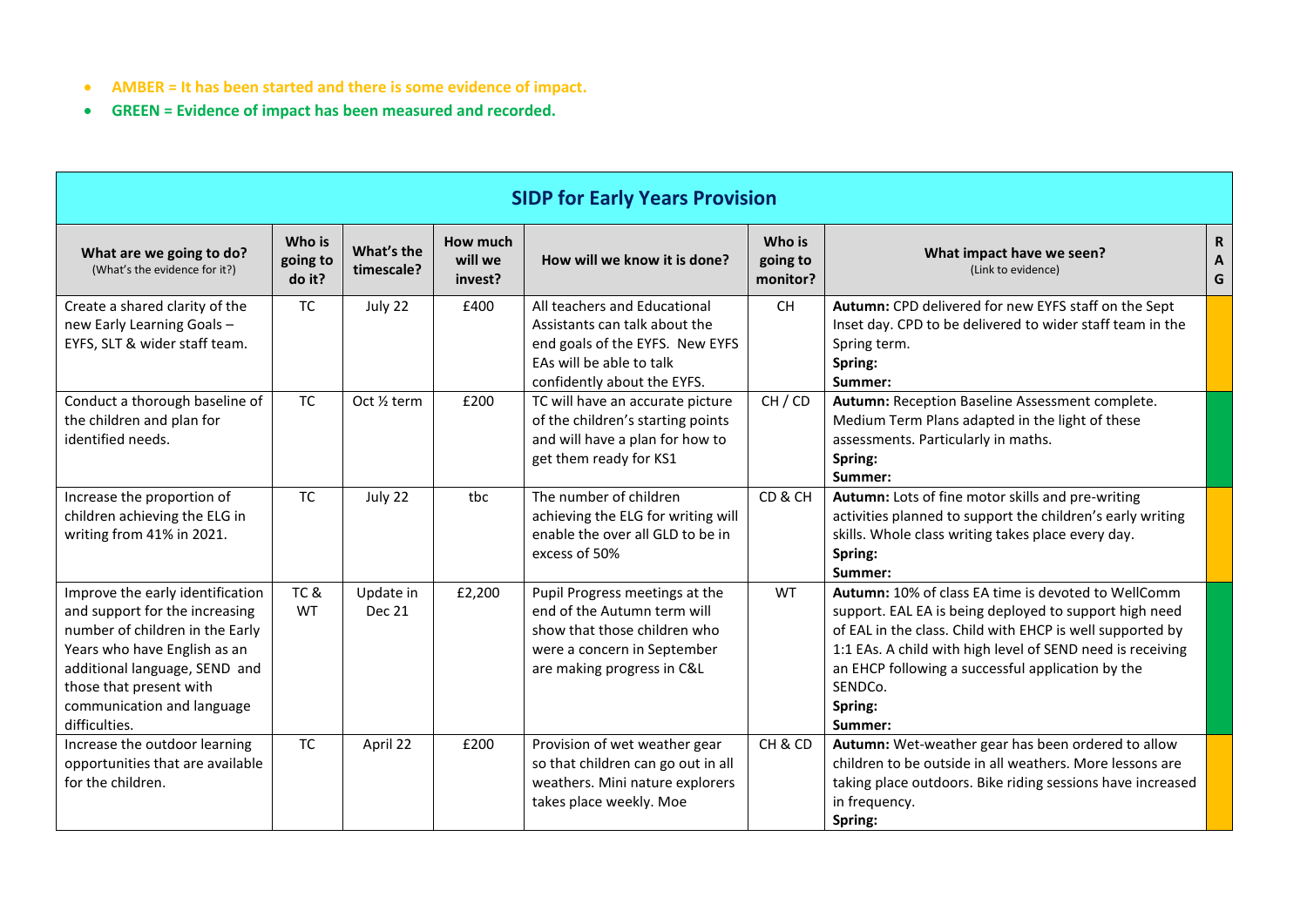- **AMBER = It has been started and there is some evidence of impact.**
- **GREEN = Evidence of impact has been measured and recorded.**

| <b>SIDP for Early Years Provision</b>                                                                                                                                                                                                            |                              |                            |                                |                                                                                                                                                             |                                |                                                                                                                                                                                                                                                                                                                                |                       |  |  |
|--------------------------------------------------------------------------------------------------------------------------------------------------------------------------------------------------------------------------------------------------|------------------------------|----------------------------|--------------------------------|-------------------------------------------------------------------------------------------------------------------------------------------------------------|--------------------------------|--------------------------------------------------------------------------------------------------------------------------------------------------------------------------------------------------------------------------------------------------------------------------------------------------------------------------------|-----------------------|--|--|
| What are we going to do?<br>(What's the evidence for it?)                                                                                                                                                                                        | Who is<br>going to<br>do it? | What's the<br>timescale?   | How much<br>will we<br>invest? | How will we know it is done?                                                                                                                                | Who is<br>going to<br>monitor? | What impact have we seen?<br>(Link to evidence)                                                                                                                                                                                                                                                                                | $\mathbf R$<br>A<br>G |  |  |
| Create a shared clarity of the<br>new Early Learning Goals -<br>EYFS, SLT & wider staff team.                                                                                                                                                    | <b>TC</b>                    | July 22                    | £400                           | All teachers and Educational<br>Assistants can talk about the<br>end goals of the EYFS. New EYFS<br>EAs will be able to talk<br>confidently about the EYFS. | <b>CH</b>                      | Autumn: CPD delivered for new EYFS staff on the Sept<br>Inset day. CPD to be delivered to wider staff team in the<br>Spring term.<br>Spring:<br>Summer:                                                                                                                                                                        |                       |  |  |
| Conduct a thorough baseline of<br>the children and plan for<br>identified needs.                                                                                                                                                                 | <b>TC</b>                    | Oct 1/2 term               | £200                           | TC will have an accurate picture<br>of the children's starting points<br>and will have a plan for how to<br>get them ready for KS1                          | CH/CD                          | Autumn: Reception Baseline Assessment complete.<br>Medium Term Plans adapted in the light of these<br>assessments. Particularly in maths.<br>Spring:<br>Summer:                                                                                                                                                                |                       |  |  |
| Increase the proportion of<br>children achieving the ELG in<br>writing from 41% in 2021.                                                                                                                                                         | <b>TC</b>                    | July 22                    | tbc                            | The number of children<br>achieving the ELG for writing will<br>enable the over all GLD to be in<br>excess of 50%                                           | CD&CH                          | Autumn: Lots of fine motor skills and pre-writing<br>activities planned to support the children's early writing<br>skills. Whole class writing takes place every day.<br>Spring:<br>Summer:                                                                                                                                    |                       |  |  |
| Improve the early identification<br>and support for the increasing<br>number of children in the Early<br>Years who have English as an<br>additional language, SEND and<br>those that present with<br>communication and language<br>difficulties. | TC&<br><b>WT</b>             | Update in<br><b>Dec 21</b> | £2,200                         | Pupil Progress meetings at the<br>end of the Autumn term will<br>show that those children who<br>were a concern in September<br>are making progress in C&L  | <b>WT</b>                      | Autumn: 10% of class EA time is devoted to WellComm<br>support. EAL EA is being deployed to support high need<br>of EAL in the class. Child with EHCP is well supported by<br>1:1 EAs. A child with high level of SEND need is receiving<br>an EHCP following a successful application by the<br>SENDCo.<br>Spring:<br>Summer: |                       |  |  |
| Increase the outdoor learning<br>opportunities that are available<br>for the children.                                                                                                                                                           | <b>TC</b>                    | April 22                   | £200                           | Provision of wet weather gear<br>so that children can go out in all<br>weathers. Mini nature explorers<br>takes place weekly. Moe                           | CH&CD                          | Autumn: Wet-weather gear has been ordered to allow<br>children to be outside in all weathers. More lessons are<br>taking place outdoors. Bike riding sessions have increased<br>in frequency.<br>Spring:                                                                                                                       |                       |  |  |